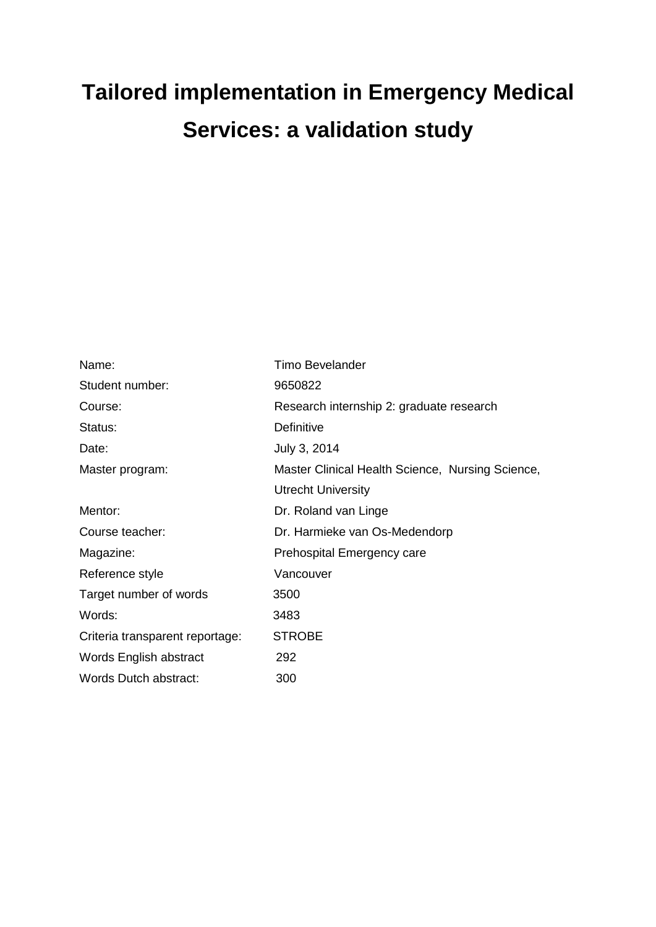# **Tailored implementation in Emergency Medical Services: a validation study**

| Name:                           | <b>Timo Bevelander</b>                           |
|---------------------------------|--------------------------------------------------|
| Student number:                 | 9650822                                          |
| Course:                         | Research internship 2: graduate research         |
| Status:                         | Definitive                                       |
| Date:                           | July 3, 2014                                     |
| Master program:                 | Master Clinical Health Science, Nursing Science, |
|                                 | <b>Utrecht University</b>                        |
| Mentor:                         | Dr. Roland van Linge                             |
| Course teacher:                 | Dr. Harmieke van Os-Medendorp                    |
| Magazine:                       | <b>Prehospital Emergency care</b>                |
| Reference style                 | Vancouver                                        |
| Target number of words          | 3500                                             |
| Words:                          | 3483                                             |
| Criteria transparent reportage: | <b>STROBE</b>                                    |
| Words English abstract          | 292                                              |
| Words Dutch abstract:           | 300                                              |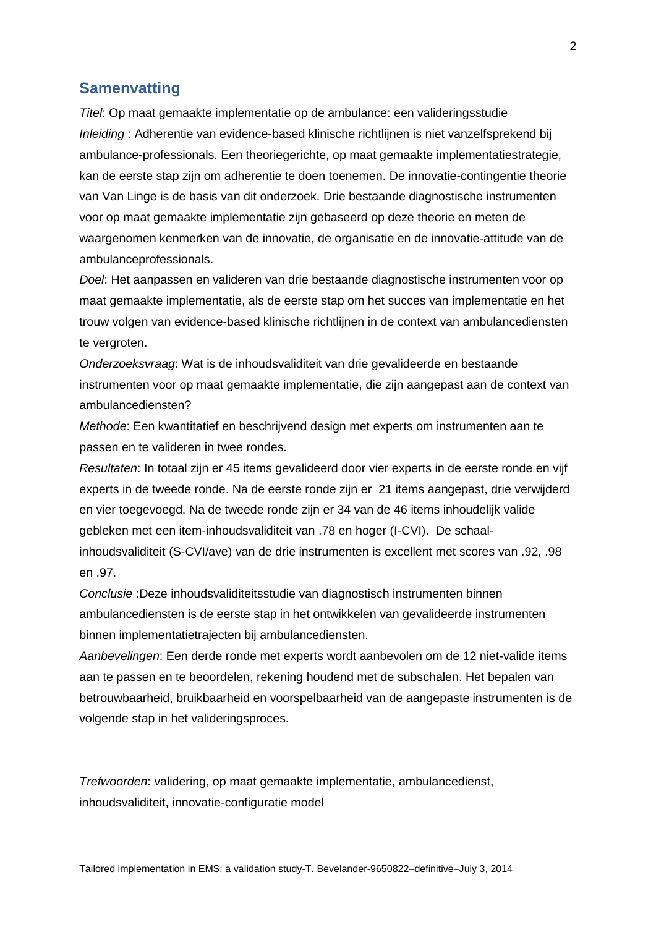## **Samenvatting**

*Titel*: Op maat gemaakte implementatie op de ambulance: een valideringsstudie *Inleiding* : Adherentie van evidence-based klinische richtlijnen is niet vanzelfsprekend bij ambulance-professionals. Een theoriegerichte, op maat gemaakte implementatiestrategie, kan de eerste stap zijn om adherentie te doen toenemen. De innovatie-contingentie theorie van Van Linge is de basis van dit onderzoek. Drie bestaande diagnostische instrumenten voor op maat gemaakte implementatie zijn gebaseerd op deze theorie en meten de waargenomen kenmerken van de innovatie, de organisatie en de innovatie-attitude van de ambulanceprofessionals.

*Doel*: Het aanpassen en valideren van drie bestaande diagnostische instrumenten voor op maat gemaakte implementatie, als de eerste stap om het succes van implementatie en het trouw volgen van evidence-based klinische richtlijnen in de context van ambulancediensten te vergroten.

*Onderzoeksvraag*: Wat is de inhoudsvaliditeit van drie gevalideerde en bestaande instrumenten voor op maat gemaakte implementatie, die zijn aangepast aan de context van ambulancediensten?

*Methode*: Een kwantitatief en beschrijvend design met experts om instrumenten aan te passen en te valideren in twee rondes.

*Resultaten*: In totaal zijn er 45 items gevalideerd door vier experts in de eerste ronde en vijf experts in de tweede ronde. Na de eerste ronde zijn er 21 items aangepast, drie verwijderd en vier toegevoegd. Na de tweede ronde zijn er 34 van de 46 items inhoudelijk valide gebleken met een item-inhoudsvaliditeit van .78 en hoger (I-CVI). De schaalinhoudsvaliditeit (S-CVI/ave) van de drie instrumenten is excellent met scores van .92, .98 en .97.

*Conclusie* :Deze inhoudsvaliditeitsstudie van diagnostisch instrumenten binnen ambulancediensten is de eerste stap in het ontwikkelen van gevalideerde instrumenten binnen implementatietrajecten bij ambulancediensten.

*Aanbevelingen*: Een derde ronde met experts wordt aanbevolen om de 12 niet-valide items aan te passen en te beoordelen, rekening houdend met de subschalen. Het bepalen van betrouwbaarheid, bruikbaarheid en voorspelbaarheid van de aangepaste instrumenten is de volgende stap in het valideringsproces.

*Trefwoorden*: validering, op maat gemaakte implementatie, ambulancedienst, inhoudsvaliditeit, innovatie-configuratie model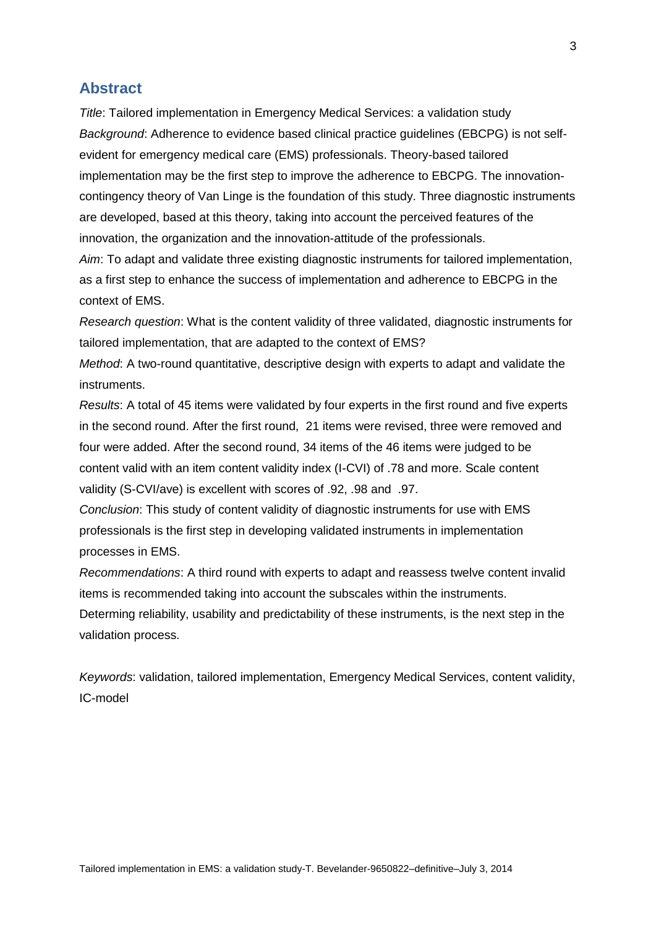### **Abstract**

*Title*: Tailored implementation in Emergency Medical Services: a validation study *Background*: Adherence to evidence based clinical practice guidelines (EBCPG) is not selfevident for emergency medical care (EMS) professionals. Theory-based tailored implementation may be the first step to improve the adherence to EBCPG. The innovationcontingency theory of Van Linge is the foundation of this study. Three diagnostic instruments are developed, based at this theory, taking into account the perceived features of the innovation, the organization and the innovation-attitude of the professionals.

*Aim*: To adapt and validate three existing diagnostic instruments for tailored implementation, as a first step to enhance the success of implementation and adherence to EBCPG in the context of EMS.

*Research question*: What is the content validity of three validated, diagnostic instruments for tailored implementation, that are adapted to the context of EMS?

*Method*: A two-round quantitative, descriptive design with experts to adapt and validate the instruments.

*Results*: A total of 45 items were validated by four experts in the first round and five experts in the second round. After the first round, 21 items were revised, three were removed and four were added. After the second round, 34 items of the 46 items were judged to be content valid with an item content validity index (I-CVI) of .78 and more. Scale content validity (S-CVI/ave) is excellent with scores of .92, .98 and .97.

*Conclusion*: This study of content validity of diagnostic instruments for use with EMS professionals is the first step in developing validated instruments in implementation processes in EMS.

*Recommendations*: A third round with experts to adapt and reassess twelve content invalid items is recommended taking into account the subscales within the instruments. Determing reliability, usability and predictability of these instruments, is the next step in the validation process.

*Keywords*: validation, tailored implementation, Emergency Medical Services, content validity, IC-model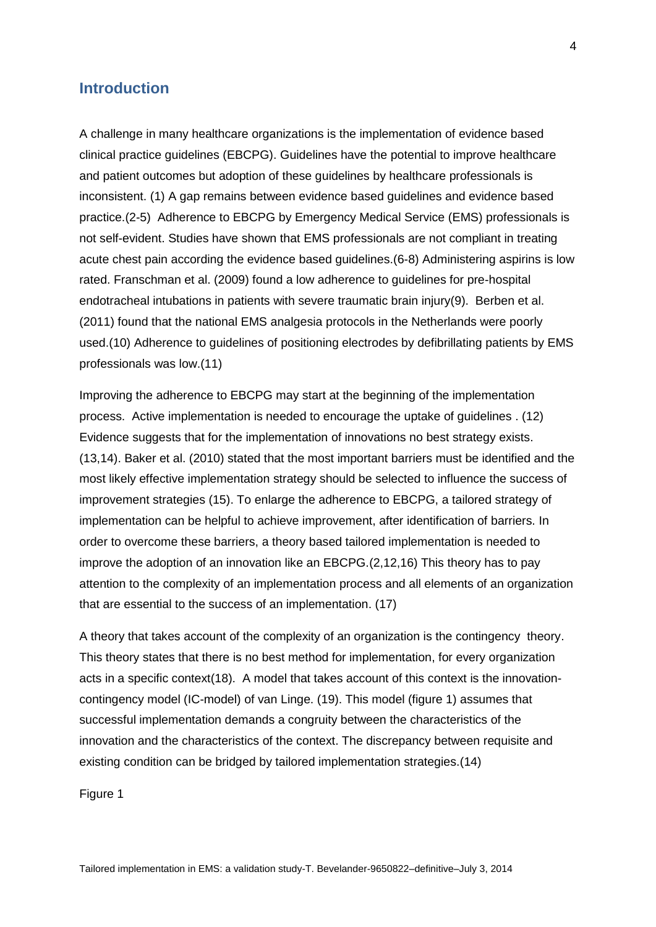## **Introduction**

A challenge in many healthcare organizations is the implementation of evidence based clinical practice guidelines (EBCPG). Guidelines have the potential to improve healthcare and patient outcomes but adoption of these guidelines by healthcare professionals is inconsistent. (1) A gap remains between evidence based guidelines and evidence based practice.(2-5) Adherence to EBCPG by Emergency Medical Service (EMS) professionals is not self-evident. Studies have shown that EMS professionals are not compliant in treating acute chest pain according the evidence based guidelines.(6-8) Administering aspirins is low rated. Franschman et al. (2009) found a low adherence to guidelines for pre-hospital endotracheal intubations in patients with severe traumatic brain injury(9). Berben et al. (2011) found that the national EMS analgesia protocols in the Netherlands were poorly used.(10) Adherence to guidelines of positioning electrodes by defibrillating patients by EMS professionals was low.(11)

Improving the adherence to EBCPG may start at the beginning of the implementation process. Active implementation is needed to encourage the uptake of guidelines . (12) Evidence suggests that for the implementation of innovations no best strategy exists. (13,14). Baker et al. (2010) stated that the most important barriers must be identified and the most likely effective implementation strategy should be selected to influence the success of improvement strategies (15). To enlarge the adherence to EBCPG, a tailored strategy of implementation can be helpful to achieve improvement, after identification of barriers. In order to overcome these barriers, a theory based tailored implementation is needed to improve the adoption of an innovation like an EBCPG.(2,12,16) This theory has to pay attention to the complexity of an implementation process and all elements of an organization that are essential to the success of an implementation. (17)

A theory that takes account of the complexity of an organization is the contingency theory. This theory states that there is no best method for implementation, for every organization acts in a specific context(18). A model that takes account of this context is the innovationcontingency model (IC-model) of van Linge. (19). This model (figure 1) assumes that successful implementation demands a congruity between the characteristics of the innovation and the characteristics of the context. The discrepancy between requisite and existing condition can be bridged by tailored implementation strategies.(14)

Figure 1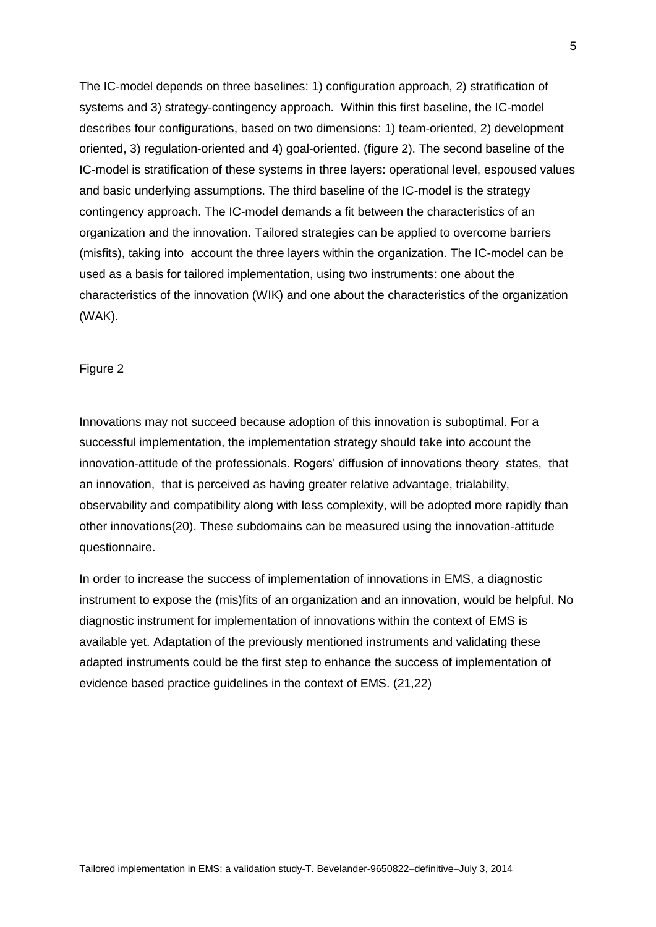The IC-model depends on three baselines: 1) configuration approach, 2) stratification of systems and 3) strategy-contingency approach. Within this first baseline, the IC-model describes four configurations, based on two dimensions: 1) team-oriented, 2) development oriented, 3) regulation-oriented and 4) goal-oriented. (figure 2). The second baseline of the IC-model is stratification of these systems in three layers: operational level, espoused values and basic underlying assumptions. The third baseline of the IC-model is the strategy contingency approach. The IC-model demands a fit between the characteristics of an organization and the innovation. Tailored strategies can be applied to overcome barriers (misfits), taking into account the three layers within the organization. The IC-model can be used as a basis for tailored implementation, using two instruments: one about the characteristics of the innovation (WIK) and one about the characteristics of the organization (WAK).

#### Figure 2

Innovations may not succeed because adoption of this innovation is suboptimal. For a successful implementation, the implementation strategy should take into account the innovation-attitude of the professionals. Rogers' diffusion of innovations theory states, that an innovation, that is perceived as having greater relative advantage, trialability, observability and compatibility along with less complexity, will be adopted more rapidly than other innovations(20). These subdomains can be measured using the innovation-attitude questionnaire.

In order to increase the success of implementation of innovations in EMS, a diagnostic instrument to expose the (mis)fits of an organization and an innovation, would be helpful. No diagnostic instrument for implementation of innovations within the context of EMS is available yet. Adaptation of the previously mentioned instruments and validating these adapted instruments could be the first step to enhance the success of implementation of evidence based practice guidelines in the context of EMS. (21,22)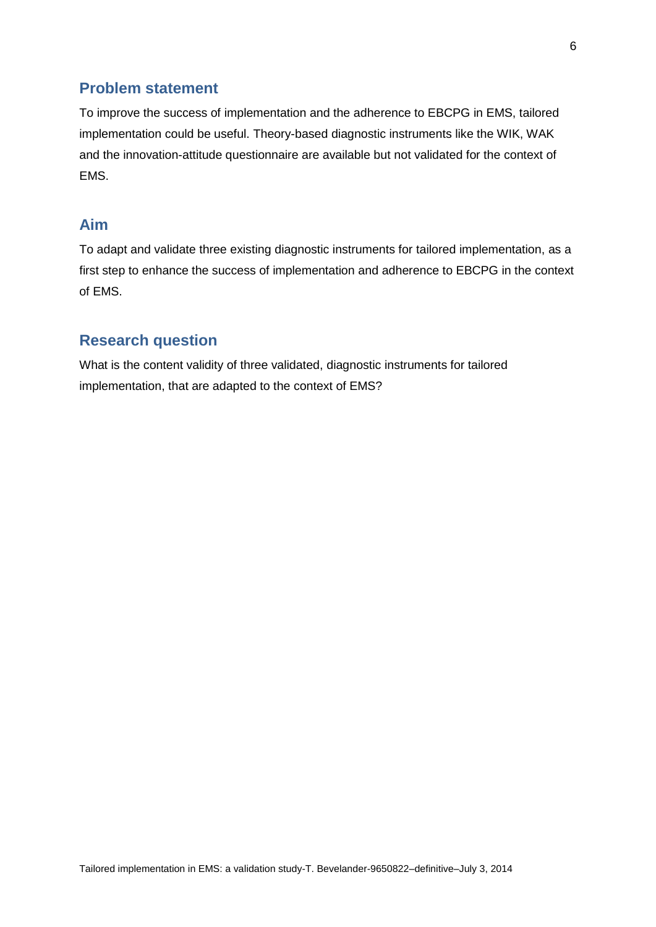# **Problem statement**

To improve the success of implementation and the adherence to EBCPG in EMS, tailored implementation could be useful. Theory-based diagnostic instruments like the WIK, WAK and the innovation-attitude questionnaire are available but not validated for the context of EMS.

# **Aim**

To adapt and validate three existing diagnostic instruments for tailored implementation, as a first step to enhance the success of implementation and adherence to EBCPG in the context of EMS.

# **Research question**

What is the content validity of three validated, diagnostic instruments for tailored implementation, that are adapted to the context of EMS?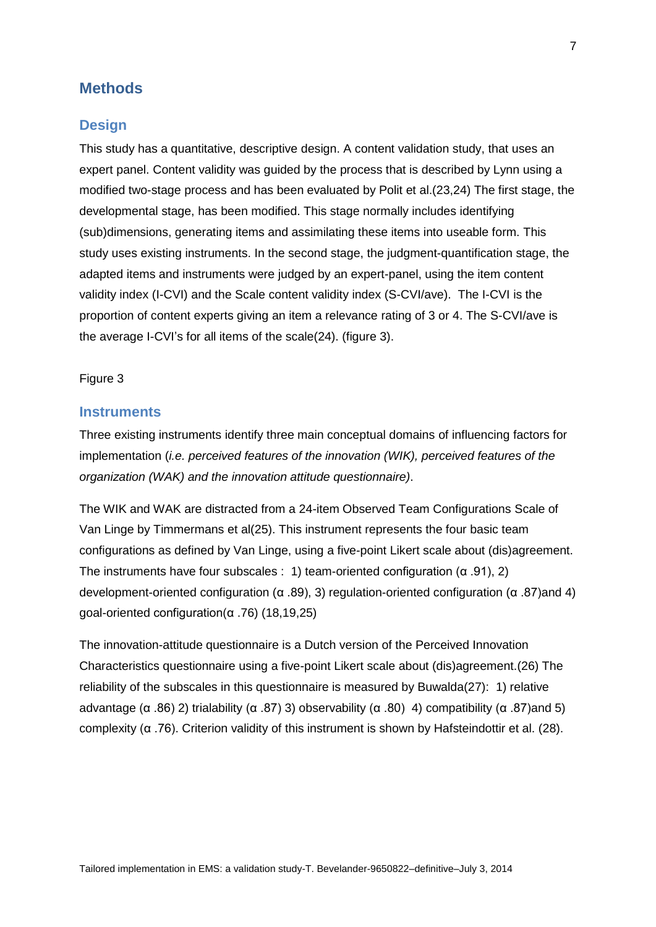## **Methods**

#### **Design**

This study has a quantitative, descriptive design. A content validation study, that uses an expert panel. Content validity was guided by the process that is described by Lynn using a modified two-stage process and has been evaluated by Polit et al.(23,24) The first stage, the developmental stage, has been modified. This stage normally includes identifying (sub)dimensions, generating items and assimilating these items into useable form. This study uses existing instruments. In the second stage, the judgment-quantification stage, the adapted items and instruments were judged by an expert-panel, using the item content validity index (I-CVI) and the Scale content validity index (S-CVI/ave). The I-CVI is the proportion of content experts giving an item a relevance rating of 3 or 4. The S-CVI/ave is the average I-CVI's for all items of the scale(24). (figure 3).

#### Figure 3

#### **Instruments**

Three existing instruments identify three main conceptual domains of influencing factors for implementation (*i.e. perceived features of the innovation (WIK), perceived features of the organization (WAK) and the innovation attitude questionnaire)*.

The WIK and WAK are distracted from a 24-item Observed Team Configurations Scale of Van Linge by Timmermans et al(25). This instrument represents the four basic team configurations as defined by Van Linge, using a five-point Likert scale about (dis)agreement. The instruments have four subscales : 1) team-oriented configuration ( $\alpha$  .91), 2) development-oriented configuration (α .89), 3) regulation-oriented configuration (α .87)and 4) goal-oriented configuration(α .76) (18,19,25)

The innovation-attitude questionnaire is a Dutch version of the Perceived Innovation Characteristics questionnaire using a five-point Likert scale about (dis)agreement.(26) The reliability of the subscales in this questionnaire is measured by Buwalda(27): 1) relative advantage (α .86) 2) trialability (α .87) 3) observability (α .80) 4) compatibility (α .87)and 5) complexity (α .76). Criterion validity of this instrument is shown by Hafsteindottir et al. (28).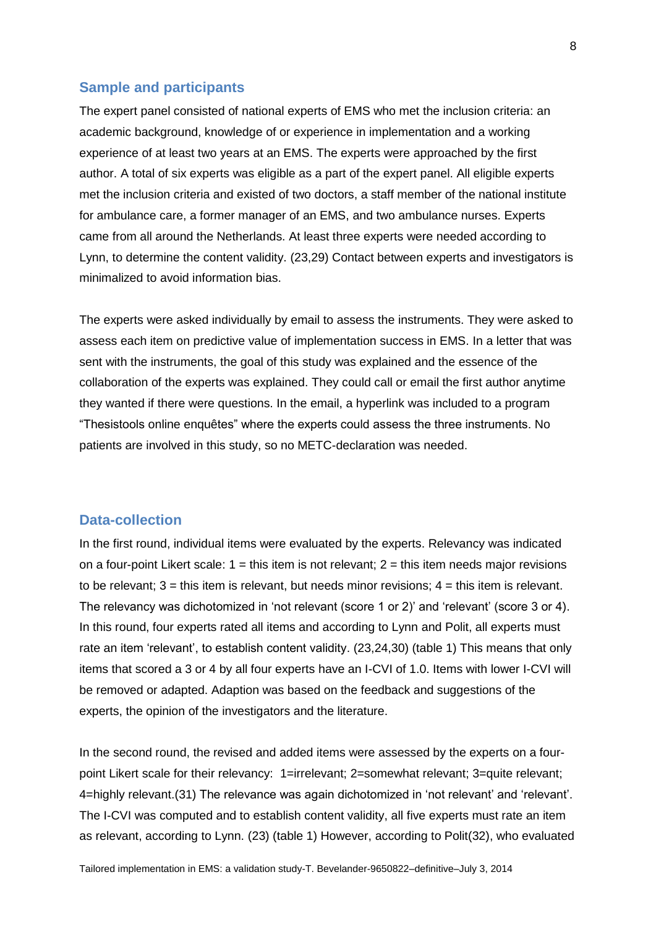#### **Sample and participants**

The expert panel consisted of national experts of EMS who met the inclusion criteria: an academic background, knowledge of or experience in implementation and a working experience of at least two years at an EMS. The experts were approached by the first author. A total of six experts was eligible as a part of the expert panel. All eligible experts met the inclusion criteria and existed of two doctors, a staff member of the national institute for ambulance care, a former manager of an EMS, and two ambulance nurses. Experts came from all around the Netherlands. At least three experts were needed according to Lynn, to determine the content validity. (23,29) Contact between experts and investigators is minimalized to avoid information bias.

The experts were asked individually by email to assess the instruments. They were asked to assess each item on predictive value of implementation success in EMS. In a letter that was sent with the instruments, the goal of this study was explained and the essence of the collaboration of the experts was explained. They could call or email the first author anytime they wanted if there were questions. In the email, a hyperlink was included to a program "Thesistools online enquêtes" where the experts could assess the three instruments. No patients are involved in this study, so no METC-declaration was needed.

#### **Data-collection**

In the first round, individual items were evaluated by the experts. Relevancy was indicated on a four-point Likert scale:  $1 =$  this item is not relevant;  $2 =$  this item needs major revisions to be relevant;  $3 =$  this item is relevant, but needs minor revisions;  $4 =$  this item is relevant. The relevancy was dichotomized in 'not relevant (score 1 or 2)' and 'relevant' (score 3 or 4). In this round, four experts rated all items and according to Lynn and Polit, all experts must rate an item 'relevant', to establish content validity. (23,24,30) (table 1) This means that only items that scored a 3 or 4 by all four experts have an I-CVI of 1.0. Items with lower I-CVI will be removed or adapted. Adaption was based on the feedback and suggestions of the experts, the opinion of the investigators and the literature.

In the second round, the revised and added items were assessed by the experts on a fourpoint Likert scale for their relevancy: 1=irrelevant; 2=somewhat relevant; 3=quite relevant; 4=highly relevant.(31) The relevance was again dichotomized in 'not relevant' and 'relevant'. The I-CVI was computed and to establish content validity, all five experts must rate an item as relevant, according to Lynn. (23) (table 1) However, according to Polit(32), who evaluated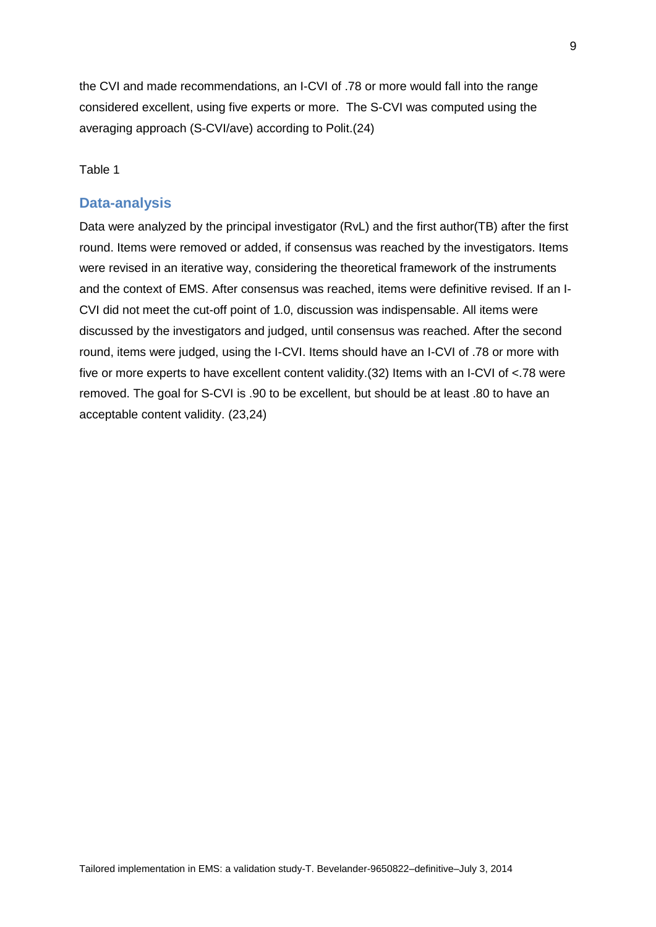the CVI and made recommendations, an I-CVI of .78 or more would fall into the range considered excellent, using five experts or more. The S-CVI was computed using the averaging approach (S-CVI/ave) according to Polit.(24)

#### Table 1

#### **Data-analysis**

Data were analyzed by the principal investigator (RvL) and the first author(TB) after the first round. Items were removed or added, if consensus was reached by the investigators. Items were revised in an iterative way, considering the theoretical framework of the instruments and the context of EMS. After consensus was reached, items were definitive revised. If an I-CVI did not meet the cut-off point of 1.0, discussion was indispensable. All items were discussed by the investigators and judged, until consensus was reached. After the second round, items were judged, using the I-CVI. Items should have an I-CVI of .78 or more with five or more experts to have excellent content validity.(32) Items with an I-CVI of <.78 were removed. The goal for S-CVI is .90 to be excellent, but should be at least .80 to have an acceptable content validity. (23,24)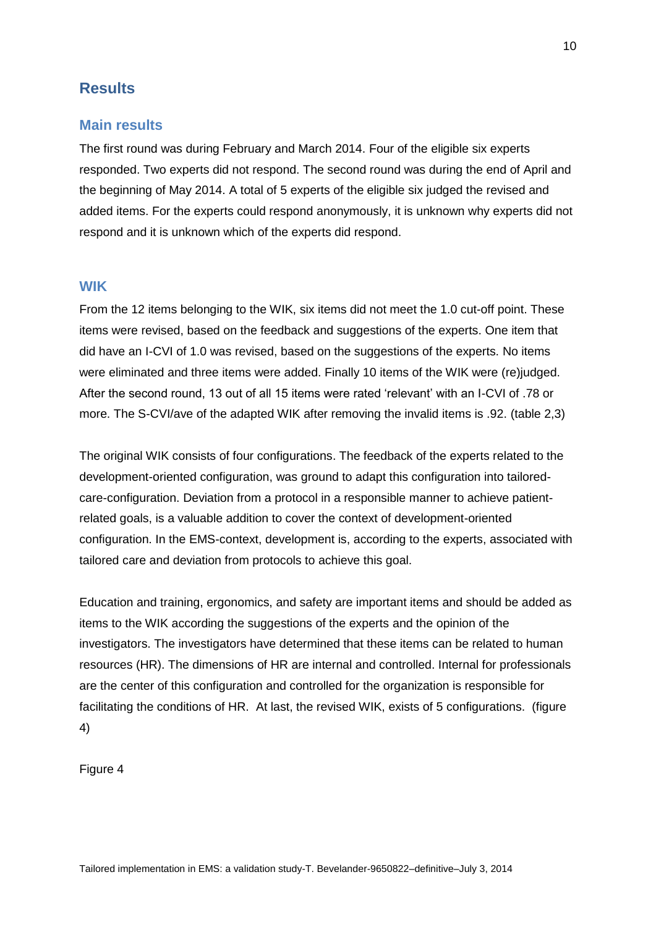# **Results**

### **Main results**

The first round was during February and March 2014. Four of the eligible six experts responded. Two experts did not respond. The second round was during the end of April and the beginning of May 2014. A total of 5 experts of the eligible six judged the revised and added items. For the experts could respond anonymously, it is unknown why experts did not respond and it is unknown which of the experts did respond.

## **WIK**

From the 12 items belonging to the WIK, six items did not meet the 1.0 cut-off point. These items were revised, based on the feedback and suggestions of the experts. One item that did have an I-CVI of 1.0 was revised, based on the suggestions of the experts. No items were eliminated and three items were added. Finally 10 items of the WIK were (re)judged. After the second round, 13 out of all 15 items were rated 'relevant' with an I-CVI of .78 or more. The S-CVI/ave of the adapted WIK after removing the invalid items is .92. (table 2,3)

The original WIK consists of four configurations. The feedback of the experts related to the development-oriented configuration, was ground to adapt this configuration into tailoredcare-configuration. Deviation from a protocol in a responsible manner to achieve patientrelated goals, is a valuable addition to cover the context of development-oriented configuration. In the EMS-context, development is, according to the experts, associated with tailored care and deviation from protocols to achieve this goal.

Education and training, ergonomics, and safety are important items and should be added as items to the WIK according the suggestions of the experts and the opinion of the investigators. The investigators have determined that these items can be related to human resources (HR). The dimensions of HR are internal and controlled. Internal for professionals are the center of this configuration and controlled for the organization is responsible for facilitating the conditions of HR. At last, the revised WIK, exists of 5 configurations. (figure 4)

Figure 4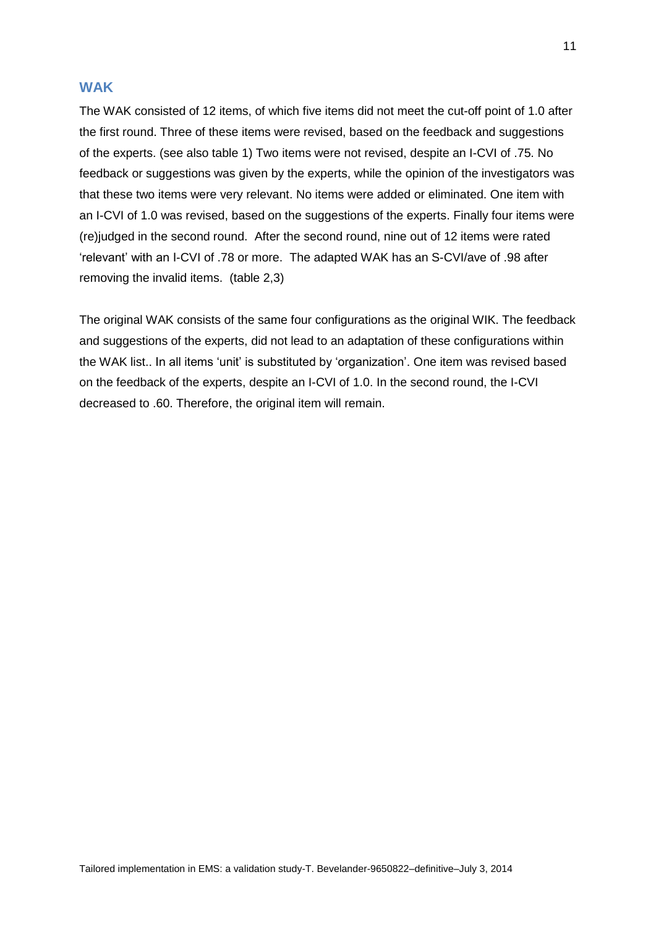#### **WAK**

The WAK consisted of 12 items, of which five items did not meet the cut-off point of 1.0 after the first round. Three of these items were revised, based on the feedback and suggestions of the experts. (see also table 1) Two items were not revised, despite an I-CVI of .75. No feedback or suggestions was given by the experts, while the opinion of the investigators was that these two items were very relevant. No items were added or eliminated. One item with an I-CVI of 1.0 was revised, based on the suggestions of the experts. Finally four items were (re)judged in the second round. After the second round, nine out of 12 items were rated 'relevant' with an I-CVI of .78 or more. The adapted WAK has an S-CVI/ave of .98 after removing the invalid items. (table 2,3)

The original WAK consists of the same four configurations as the original WIK. The feedback and suggestions of the experts, did not lead to an adaptation of these configurations within the WAK list.. In all items 'unit' is substituted by 'organization'. One item was revised based on the feedback of the experts, despite an I-CVI of 1.0. In the second round, the I-CVI decreased to .60. Therefore, the original item will remain.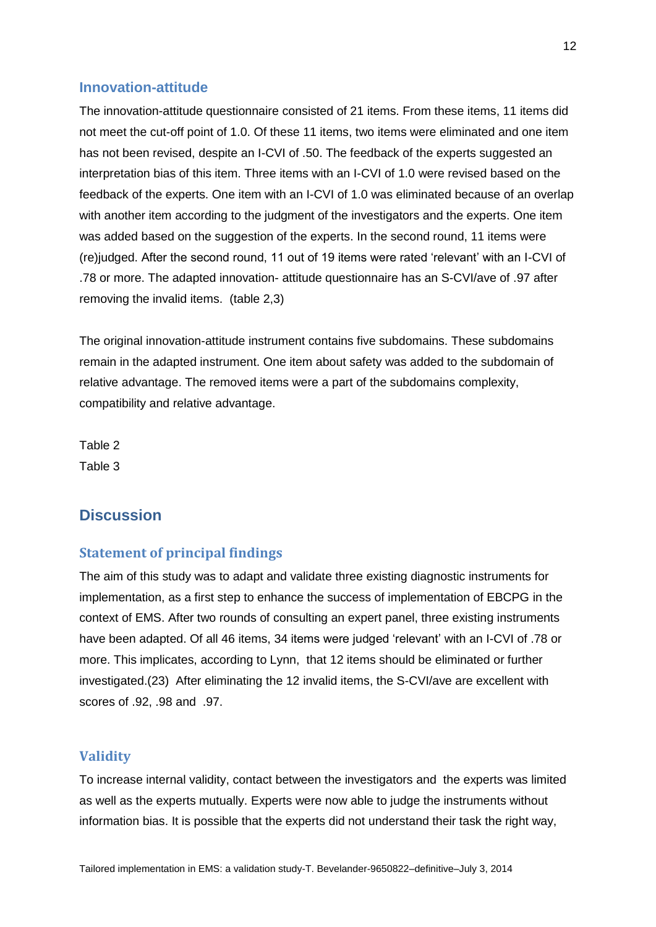#### **Innovation-attitude**

The innovation-attitude questionnaire consisted of 21 items. From these items, 11 items did not meet the cut-off point of 1.0. Of these 11 items, two items were eliminated and one item has not been revised, despite an I-CVI of .50. The feedback of the experts suggested an interpretation bias of this item. Three items with an I-CVI of 1.0 were revised based on the feedback of the experts. One item with an I-CVI of 1.0 was eliminated because of an overlap with another item according to the judgment of the investigators and the experts. One item was added based on the suggestion of the experts. In the second round, 11 items were (re)judged. After the second round, 11 out of 19 items were rated 'relevant' with an I-CVI of .78 or more. The adapted innovation- attitude questionnaire has an S-CVI/ave of .97 after removing the invalid items. (table 2,3)

The original innovation-attitude instrument contains five subdomains. These subdomains remain in the adapted instrument. One item about safety was added to the subdomain of relative advantage. The removed items were a part of the subdomains complexity, compatibility and relative advantage.

Table 2 Table 3

# **Discussion**

### **Statement of principal findings**

The aim of this study was to adapt and validate three existing diagnostic instruments for implementation, as a first step to enhance the success of implementation of EBCPG in the context of EMS. After two rounds of consulting an expert panel, three existing instruments have been adapted. Of all 46 items, 34 items were judged 'relevant' with an I-CVI of .78 or more. This implicates, according to Lynn, that 12 items should be eliminated or further investigated.(23) After eliminating the 12 invalid items, the S-CVI/ave are excellent with scores of .92, .98 and .97.

#### **Validity**

To increase internal validity, contact between the investigators and the experts was limited as well as the experts mutually. Experts were now able to judge the instruments without information bias. It is possible that the experts did not understand their task the right way,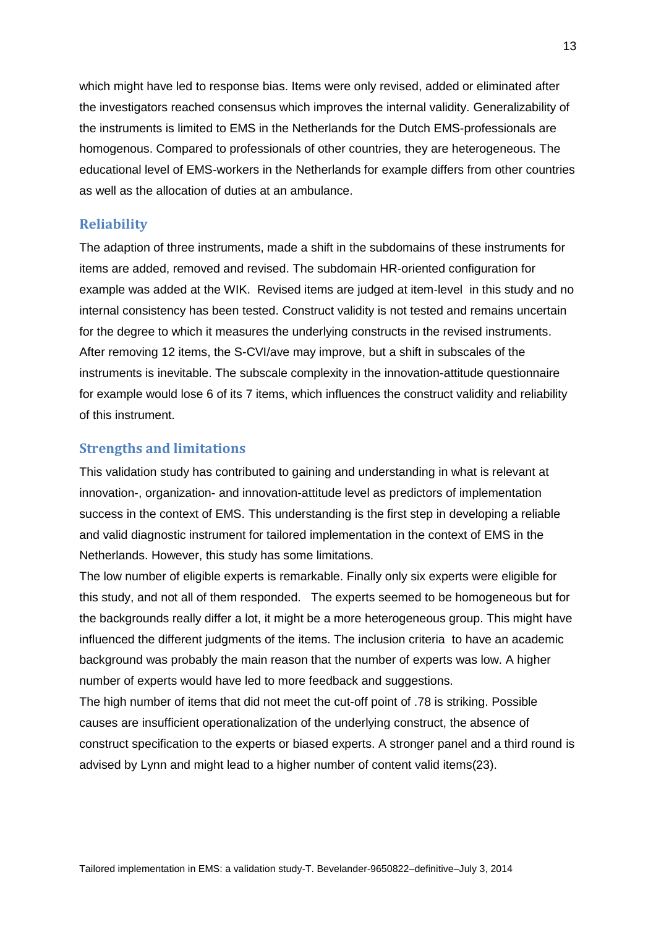which might have led to response bias. Items were only revised, added or eliminated after the investigators reached consensus which improves the internal validity. Generalizability of the instruments is limited to EMS in the Netherlands for the Dutch EMS-professionals are homogenous. Compared to professionals of other countries, they are heterogeneous. The educational level of EMS-workers in the Netherlands for example differs from other countries as well as the allocation of duties at an ambulance.

#### **Reliability**

The adaption of three instruments, made a shift in the subdomains of these instruments for items are added, removed and revised. The subdomain HR-oriented configuration for example was added at the WIK. Revised items are judged at item-level in this study and no internal consistency has been tested. Construct validity is not tested and remains uncertain for the degree to which it measures the underlying constructs in the revised instruments. After removing 12 items, the S-CVI/ave may improve, but a shift in subscales of the instruments is inevitable. The subscale complexity in the innovation-attitude questionnaire for example would lose 6 of its 7 items, which influences the construct validity and reliability of this instrument.

#### **Strengths and limitations**

This validation study has contributed to gaining and understanding in what is relevant at innovation-, organization- and innovation-attitude level as predictors of implementation success in the context of EMS. This understanding is the first step in developing a reliable and valid diagnostic instrument for tailored implementation in the context of EMS in the Netherlands. However, this study has some limitations.

The low number of eligible experts is remarkable. Finally only six experts were eligible for this study, and not all of them responded. The experts seemed to be homogeneous but for the backgrounds really differ a lot, it might be a more heterogeneous group. This might have influenced the different judgments of the items. The inclusion criteria to have an academic background was probably the main reason that the number of experts was low. A higher number of experts would have led to more feedback and suggestions.

The high number of items that did not meet the cut-off point of .78 is striking. Possible causes are insufficient operationalization of the underlying construct, the absence of construct specification to the experts or biased experts. A stronger panel and a third round is advised by Lynn and might lead to a higher number of content valid items(23).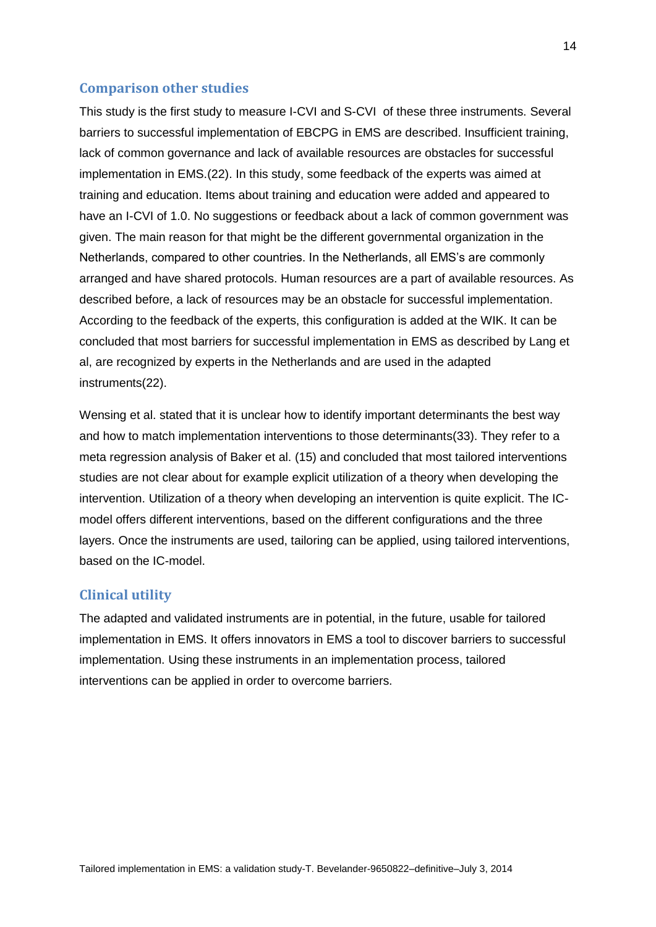## **Comparison other studies**

This study is the first study to measure I-CVI and S-CVI of these three instruments. Several barriers to successful implementation of EBCPG in EMS are described. Insufficient training, lack of common governance and lack of available resources are obstacles for successful implementation in EMS.(22). In this study, some feedback of the experts was aimed at training and education. Items about training and education were added and appeared to have an I-CVI of 1.0. No suggestions or feedback about a lack of common government was given. The main reason for that might be the different governmental organization in the Netherlands, compared to other countries. In the Netherlands, all EMS's are commonly arranged and have shared protocols. Human resources are a part of available resources. As described before, a lack of resources may be an obstacle for successful implementation. According to the feedback of the experts, this configuration is added at the WIK. It can be concluded that most barriers for successful implementation in EMS as described by Lang et al, are recognized by experts in the Netherlands and are used in the adapted instruments(22).

Wensing et al. stated that it is unclear how to identify important determinants the best way and how to match implementation interventions to those determinants(33). They refer to a meta regression analysis of Baker et al. (15) and concluded that most tailored interventions studies are not clear about for example explicit utilization of a theory when developing the intervention. Utilization of a theory when developing an intervention is quite explicit. The ICmodel offers different interventions, based on the different configurations and the three layers. Once the instruments are used, tailoring can be applied, using tailored interventions, based on the IC-model.

### **Clinical utility**

The adapted and validated instruments are in potential, in the future, usable for tailored implementation in EMS. It offers innovators in EMS a tool to discover barriers to successful implementation. Using these instruments in an implementation process, tailored interventions can be applied in order to overcome barriers.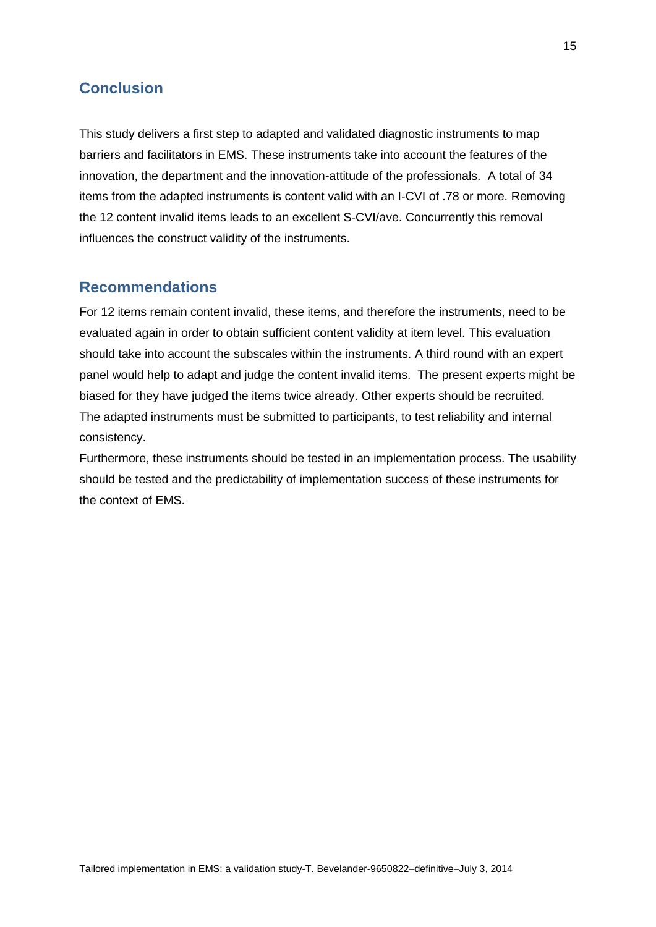# **Conclusion**

This study delivers a first step to adapted and validated diagnostic instruments to map barriers and facilitators in EMS. These instruments take into account the features of the innovation, the department and the innovation-attitude of the professionals. A total of 34 items from the adapted instruments is content valid with an I-CVI of .78 or more. Removing the 12 content invalid items leads to an excellent S-CVI/ave. Concurrently this removal influences the construct validity of the instruments.

## **Recommendations**

For 12 items remain content invalid, these items, and therefore the instruments, need to be evaluated again in order to obtain sufficient content validity at item level. This evaluation should take into account the subscales within the instruments. A third round with an expert panel would help to adapt and judge the content invalid items. The present experts might be biased for they have judged the items twice already. Other experts should be recruited. The adapted instruments must be submitted to participants, to test reliability and internal consistency.

Furthermore, these instruments should be tested in an implementation process. The usability should be tested and the predictability of implementation success of these instruments for the context of EMS.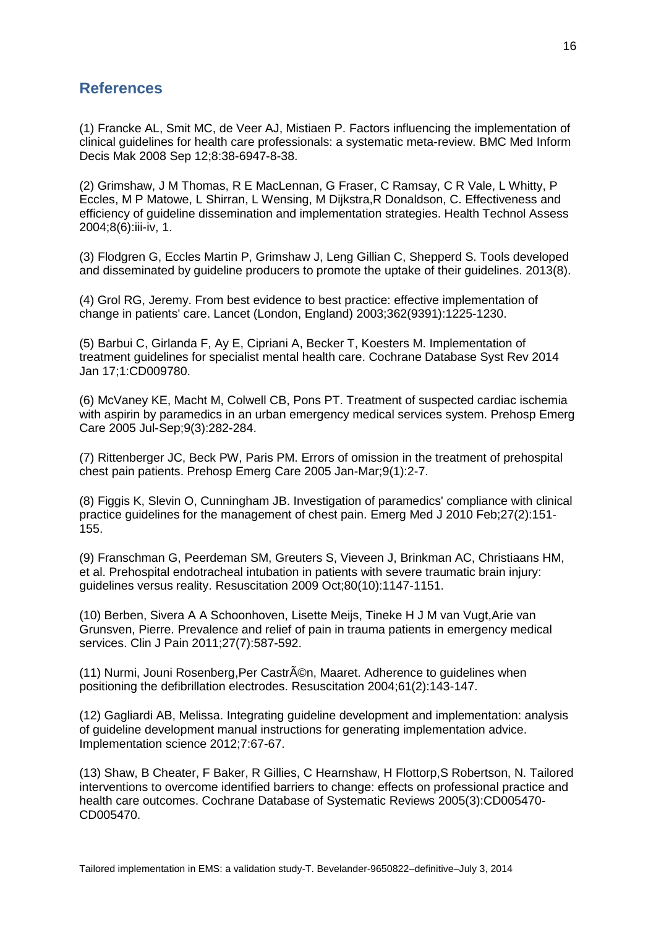# **References**

(1) Francke AL, Smit MC, de Veer AJ, Mistiaen P. Factors influencing the implementation of clinical guidelines for health care professionals: a systematic meta-review. BMC Med Inform Decis Mak 2008 Sep 12;8:38-6947-8-38.

(2) Grimshaw, J M Thomas, R E MacLennan, G Fraser, C Ramsay, C R Vale, L Whitty, P Eccles, M P Matowe, L Shirran, L Wensing, M Dijkstra,R Donaldson, C. Effectiveness and efficiency of guideline dissemination and implementation strategies. Health Technol Assess 2004;8(6):iii-iv, 1.

(3) Flodgren G, Eccles Martin P, Grimshaw J, Leng Gillian C, Shepperd S. Tools developed and disseminated by guideline producers to promote the uptake of their guidelines. 2013(8).

(4) Grol RG, Jeremy. From best evidence to best practice: effective implementation of change in patients' care. Lancet (London, England) 2003;362(9391):1225-1230.

(5) Barbui C, Girlanda F, Ay E, Cipriani A, Becker T, Koesters M. Implementation of treatment guidelines for specialist mental health care. Cochrane Database Syst Rev 2014 Jan 17;1:CD009780.

(6) McVaney KE, Macht M, Colwell CB, Pons PT. Treatment of suspected cardiac ischemia with aspirin by paramedics in an urban emergency medical services system. Prehosp Emerg Care 2005 Jul-Sep;9(3):282-284.

(7) Rittenberger JC, Beck PW, Paris PM. Errors of omission in the treatment of prehospital chest pain patients. Prehosp Emerg Care 2005 Jan-Mar;9(1):2-7.

(8) Figgis K, Slevin O, Cunningham JB. Investigation of paramedics' compliance with clinical practice guidelines for the management of chest pain. Emerg Med J 2010 Feb;27(2):151- 155.

(9) Franschman G, Peerdeman SM, Greuters S, Vieveen J, Brinkman AC, Christiaans HM, et al. Prehospital endotracheal intubation in patients with severe traumatic brain injury: guidelines versus reality. Resuscitation 2009 Oct;80(10):1147-1151.

(10) Berben, Sivera A A Schoonhoven, Lisette Meijs, Tineke H J M van Vugt,Arie van Grunsven, Pierre. Prevalence and relief of pain in trauma patients in emergency medical services. Clin J Pain 2011;27(7):587-592.

(11) Nurmi, Jouni Rosenberg, Per Castrén, Maaret. Adherence to guidelines when positioning the defibrillation electrodes. Resuscitation 2004;61(2):143-147.

(12) Gagliardi AB, Melissa. Integrating guideline development and implementation: analysis of guideline development manual instructions for generating implementation advice. Implementation science 2012;7:67-67.

(13) Shaw, B Cheater, F Baker, R Gillies, C Hearnshaw, H Flottorp,S Robertson, N. Tailored interventions to overcome identified barriers to change: effects on professional practice and health care outcomes. Cochrane Database of Systematic Reviews 2005(3):CD005470- CD005470.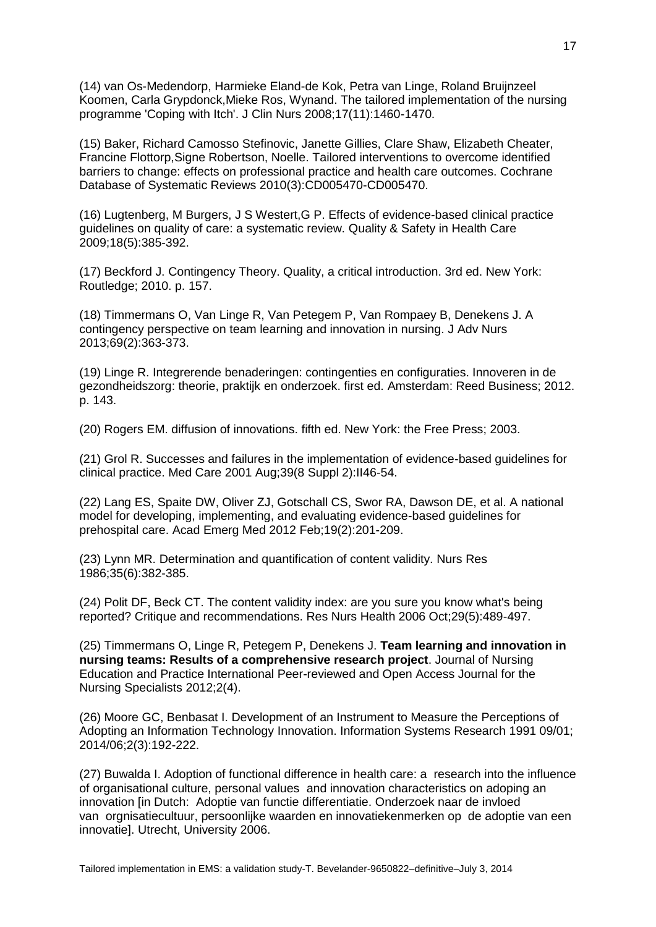(14) van Os-Medendorp, Harmieke Eland-de Kok, Petra van Linge, Roland Bruijnzeel Koomen, Carla Grypdonck,Mieke Ros, Wynand. The tailored implementation of the nursing programme 'Coping with Itch'. J Clin Nurs 2008;17(11):1460-1470.

(15) Baker, Richard Camosso Stefinovic, Janette Gillies, Clare Shaw, Elizabeth Cheater, Francine Flottorp,Signe Robertson, Noelle. Tailored interventions to overcome identified barriers to change: effects on professional practice and health care outcomes. Cochrane Database of Systematic Reviews 2010(3):CD005470-CD005470.

(16) Lugtenberg, M Burgers, J S Westert,G P. Effects of evidence-based clinical practice guidelines on quality of care: a systematic review. Quality & Safety in Health Care 2009;18(5):385-392.

(17) Beckford J. Contingency Theory. Quality, a critical introduction. 3rd ed. New York: Routledge; 2010. p. 157.

(18) Timmermans O, Van Linge R, Van Petegem P, Van Rompaey B, Denekens J. A contingency perspective on team learning and innovation in nursing. J Adv Nurs 2013;69(2):363-373.

(19) Linge R. Integrerende benaderingen: contingenties en configuraties. Innoveren in de gezondheidszorg: theorie, praktijk en onderzoek. first ed. Amsterdam: Reed Business; 2012. p. 143.

(20) Rogers EM. diffusion of innovations. fifth ed. New York: the Free Press; 2003.

(21) Grol R. Successes and failures in the implementation of evidence-based guidelines for clinical practice. Med Care 2001 Aug;39(8 Suppl 2):II46-54.

(22) Lang ES, Spaite DW, Oliver ZJ, Gotschall CS, Swor RA, Dawson DE, et al. A national model for developing, implementing, and evaluating evidence-based guidelines for prehospital care. Acad Emerg Med 2012 Feb;19(2):201-209.

(23) Lynn MR. Determination and quantification of content validity. Nurs Res 1986;35(6):382-385.

(24) Polit DF, Beck CT. The content validity index: are you sure you know what's being reported? Critique and recommendations. Res Nurs Health 2006 Oct;29(5):489-497.

(25) Timmermans O, Linge R, Petegem P, Denekens J. **Team learning and innovation in nursing teams: Results of a comprehensive research project**. Journal of Nursing Education and Practice International Peer-reviewed and Open Access Journal for the Nursing Specialists 2012;2(4).

(26) Moore GC, Benbasat I. Development of an Instrument to Measure the Perceptions of Adopting an Information Technology Innovation. Information Systems Research 1991 09/01; 2014/06;2(3):192-222.

(27) Buwalda I. Adoption of functional difference in health care: a research into the influence of organisational culture, personal values and innovation characteristics on adoping an innovation [in Dutch: Adoptie van functie differentiatie. Onderzoek naar de invloed van orgnisatiecultuur, persoonlijke waarden en innovatiekenmerken op de adoptie van een innovatie]. Utrecht, University 2006.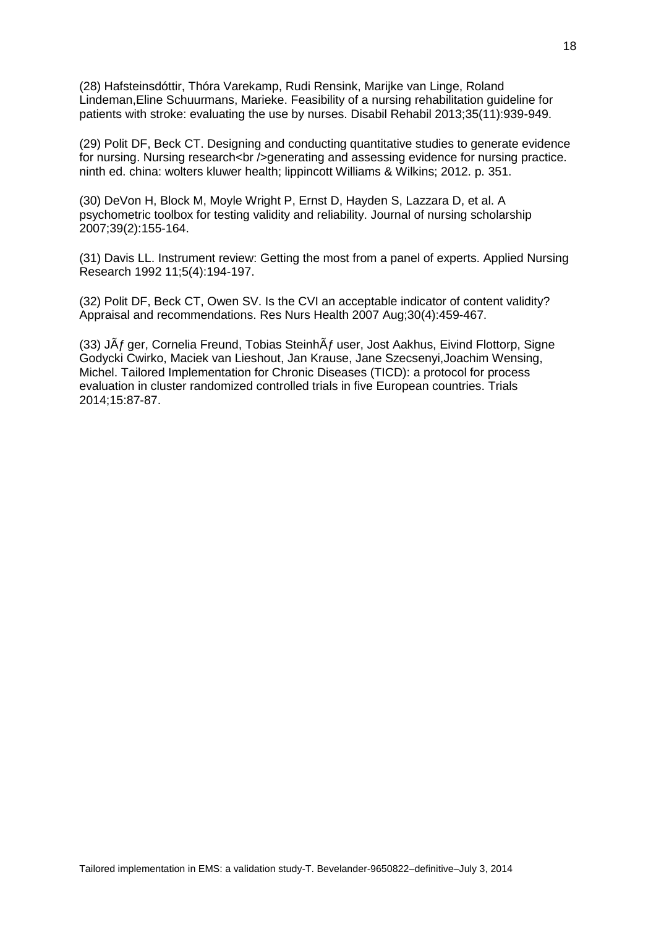(28) Hafsteinsdóttir, Thóra Varekamp, Rudi Rensink, Marijke van Linge, Roland Lindeman,Eline Schuurmans, Marieke. Feasibility of a nursing rehabilitation guideline for patients with stroke: evaluating the use by nurses. Disabil Rehabil 2013;35(11):939-949.

(29) Polit DF, Beck CT. Designing and conducting quantitative studies to generate evidence for nursing. Nursing research<br />>/>>generating and assessing evidence for nursing practice. ninth ed. china: wolters kluwer health; lippincott Williams & Wilkins; 2012. p. 351.

(30) DeVon H, Block M, Moyle Wright P, Ernst D, Hayden S, Lazzara D, et al. A psychometric toolbox for testing validity and reliability. Journal of nursing scholarship 2007;39(2):155-164.

(31) Davis LL. Instrument review: Getting the most from a panel of experts. Applied Nursing Research 1992 11;5(4):194-197.

(32) Polit DF, Beck CT, Owen SV. Is the CVI an acceptable indicator of content validity? Appraisal and recommendations. Res Nurs Health 2007 Aug;30(4):459-467.

(33) J $\tilde{A}f$  ger, Cornelia Freund, Tobias Steinh $\tilde{A}f$  user, Jost Aakhus, Eivind Flottorp, Signe Godycki Cwirko, Maciek van Lieshout, Jan Krause, Jane Szecsenyi,Joachim Wensing, Michel. Tailored Implementation for Chronic Diseases (TICD): a protocol for process evaluation in cluster randomized controlled trials in five European countries. Trials 2014;15:87-87.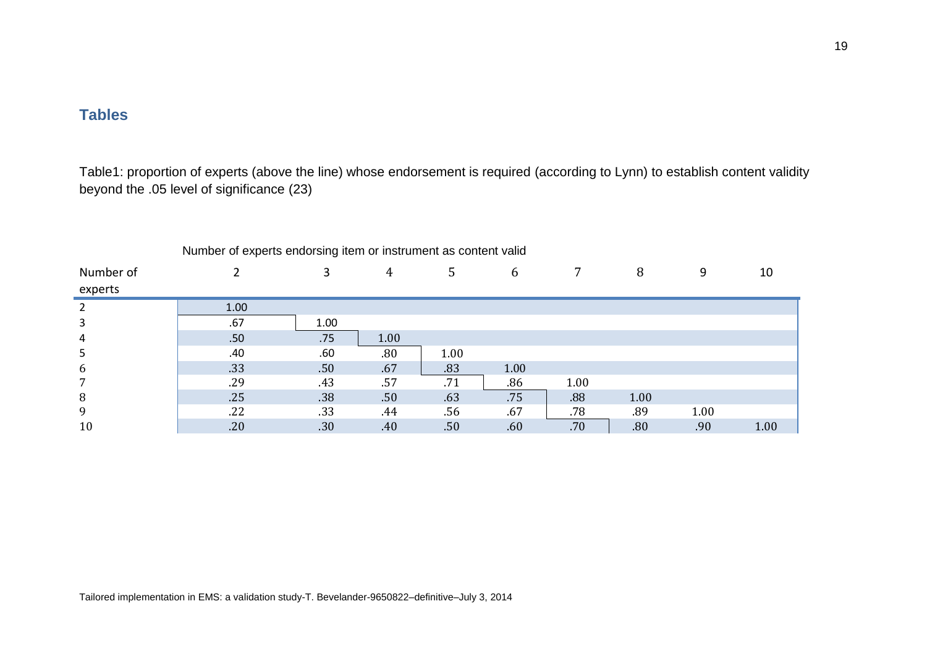# **Tables**

Table1: proportion of experts (above the line) whose endorsement is required (according to Lynn) to establish content validity beyond the .05 level of significance (23)

|           | Trumper of experts endorsing nem or instrument as content valid |      |      |      |      |      |      |      |      |
|-----------|-----------------------------------------------------------------|------|------|------|------|------|------|------|------|
| Number of |                                                                 |      | 4    | 5    | 6    | 7    | 8    | 9    | 10   |
| experts   |                                                                 |      |      |      |      |      |      |      |      |
| 2         | 1.00                                                            |      |      |      |      |      |      |      |      |
| 3         | .67                                                             | 1.00 |      |      |      |      |      |      |      |
| 4         | .50                                                             | .75  | 1.00 |      |      |      |      |      |      |
| 5         | .40                                                             | .60  | .80  | 1.00 |      |      |      |      |      |
| 6         | .33                                                             | .50  | .67  | .83  | 1.00 |      |      |      |      |
| 7         | .29                                                             | .43  | .57  | .71  | .86  | 1.00 |      |      |      |
| 8         | .25                                                             | .38  | .50  | .63  | .75  | .88  | 1.00 |      |      |
| 9         | .22                                                             | .33  | .44  | .56  | .67  | .78  | .89  | 1.00 |      |
| 10        | .20                                                             | .30  | .40  | .50  | .60  | .70  | .80  | .90  | 1.00 |

Number of experts endorsing item or instrument as content valid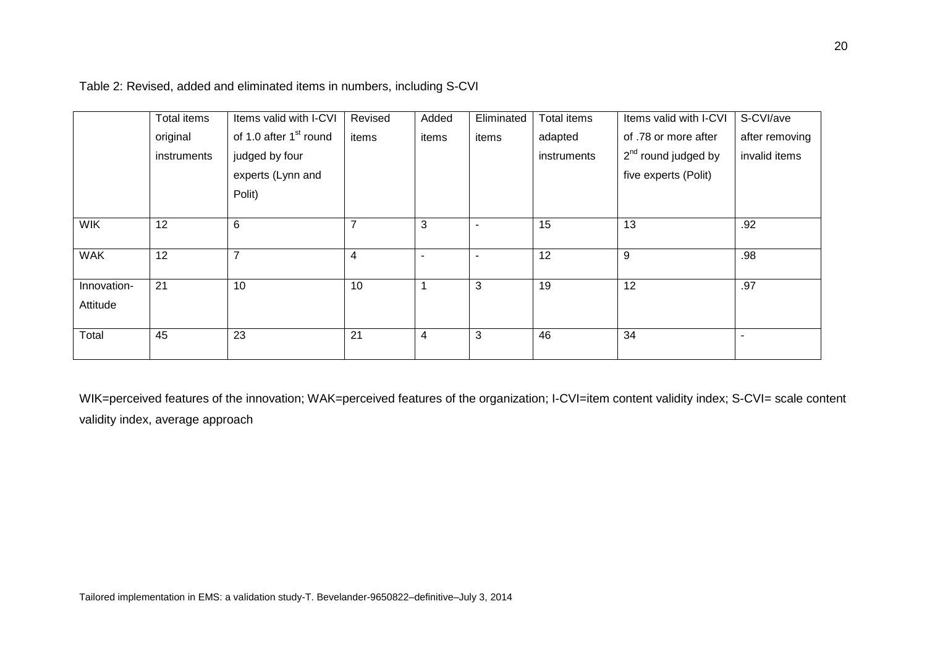|             | Total items | Items valid with I-CVI             | Revised | Added | Eliminated | Total items | Items valid with I-CVI          | S-CVI/ave      |
|-------------|-------------|------------------------------------|---------|-------|------------|-------------|---------------------------------|----------------|
|             | original    | of 1.0 after 1 <sup>st</sup> round | items   | items | items      | adapted     | of .78 or more after            | after removing |
|             | instruments | judged by four                     |         |       |            | instruments | 2 <sup>nd</sup> round judged by | invalid items  |
|             |             | experts (Lynn and                  |         |       |            |             | five experts (Polit)            |                |
|             |             | Polit)                             |         |       |            |             |                                 |                |
|             |             |                                    |         |       |            |             |                                 |                |
| <b>WIK</b>  | 12          | 6                                  | ⇁       | 3     |            | 15          | 13                              | .92            |
|             |             |                                    |         |       |            |             |                                 |                |
| <b>WAK</b>  | 12          | $\overline{7}$                     | 4       |       |            | 12          | 9                               | .98            |
|             |             |                                    |         |       |            |             |                                 |                |
| Innovation- | 21          | 10                                 | 10      |       | 3          | 19          | 12                              | .97            |
| Attitude    |             |                                    |         |       |            |             |                                 |                |
|             |             |                                    |         |       |            |             |                                 |                |
| Total       | 45          | 23                                 | 21      | 4     | 3          | 46          | 34                              |                |
|             |             |                                    |         |       |            |             |                                 |                |

Table 2: Revised, added and eliminated items in numbers, including S-CVI

WIK=perceived features of the innovation; WAK=perceived features of the organization; I-CVI=item content validity index; S-CVI= scale content validity index, average approach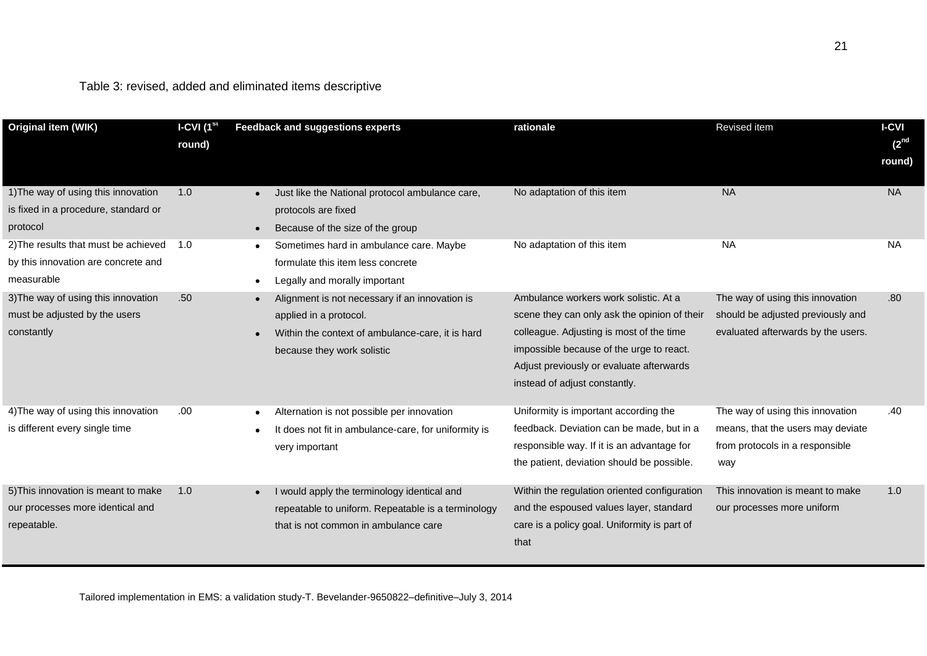| Original item (WIK)                                                                       | I-CVI $(1st$<br>round) | <b>Feedback and suggestions experts</b>                                                                                                                    | rationale                                                                                                                                                                                                                                                  | Revised item                                                                                                    | <b>I-CVI</b><br>(2 <sup>nd</sup><br>round) |
|-------------------------------------------------------------------------------------------|------------------------|------------------------------------------------------------------------------------------------------------------------------------------------------------|------------------------------------------------------------------------------------------------------------------------------------------------------------------------------------------------------------------------------------------------------------|-----------------------------------------------------------------------------------------------------------------|--------------------------------------------|
| 1) The way of using this innovation<br>is fixed in a procedure, standard or<br>protocol   | 1.0                    | Just like the National protocol ambulance care,<br>protocols are fixed<br>Because of the size of the group<br>$\bullet$                                    | No adaptation of this item                                                                                                                                                                                                                                 | <b>NA</b>                                                                                                       | <b>NA</b>                                  |
| 2) The results that must be achieved<br>by this innovation are concrete and<br>measurable | 1.0                    | Sometimes hard in ambulance care. Maybe<br>formulate this item less concrete<br>Legally and morally important<br>$\bullet$                                 | No adaptation of this item                                                                                                                                                                                                                                 | <b>NA</b>                                                                                                       | <b>NA</b>                                  |
| 3) The way of using this innovation<br>must be adjusted by the users<br>constantly        | .50                    | Alignment is not necessary if an innovation is<br>applied in a protocol.<br>Within the context of ambulance-care, it is hard<br>because they work solistic | Ambulance workers work solistic. At a<br>scene they can only ask the opinion of their<br>colleague. Adjusting is most of the time<br>impossible because of the urge to react.<br>Adjust previously or evaluate afterwards<br>instead of adjust constantly. | The way of using this innovation<br>should be adjusted previously and<br>evaluated afterwards by the users.     | .80                                        |
| 4) The way of using this innovation<br>is different every single time                     | .00                    | Alternation is not possible per innovation<br>It does not fit in ambulance-care, for uniformity is<br>very important                                       | Uniformity is important according the<br>feedback. Deviation can be made, but in a<br>responsible way. If it is an advantage for<br>the patient, deviation should be possible.                                                                             | The way of using this innovation<br>means, that the users may deviate<br>from protocols in a responsible<br>way | .40                                        |
| 5) This innovation is meant to make<br>our processes more identical and<br>repeatable.    | 1.0                    | I would apply the terminology identical and<br>repeatable to uniform. Repeatable is a terminology<br>that is not common in ambulance care                  | Within the regulation oriented configuration<br>and the espoused values layer, standard<br>care is a policy goal. Uniformity is part of<br>that                                                                                                            | This innovation is meant to make<br>our processes more uniform                                                  | 1.0                                        |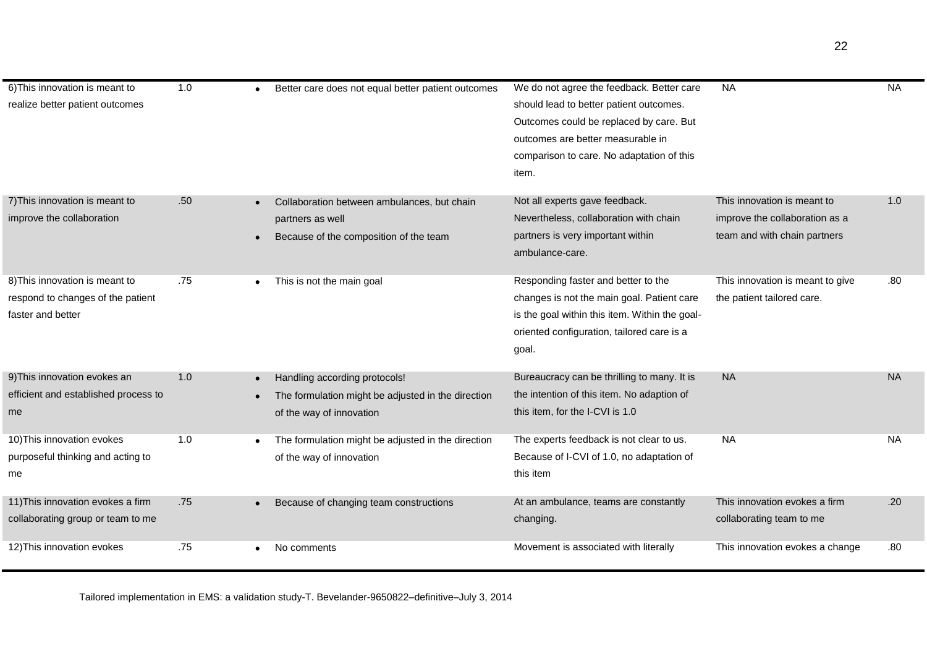| 6) This innovation is meant to       | 1.0 | Better care does not equal better patient outcomes | We do not agree the feedback. Better care            | <b>NA</b>                        | <b>NA</b> |
|--------------------------------------|-----|----------------------------------------------------|------------------------------------------------------|----------------------------------|-----------|
| realize better patient outcomes      |     |                                                    | should lead to better patient outcomes.              |                                  |           |
|                                      |     |                                                    | Outcomes could be replaced by care. But              |                                  |           |
|                                      |     |                                                    | outcomes are better measurable in                    |                                  |           |
|                                      |     |                                                    | comparison to care. No adaptation of this            |                                  |           |
|                                      |     |                                                    | item.                                                |                                  |           |
|                                      |     |                                                    |                                                      |                                  |           |
| 7) This innovation is meant to       | .50 | Collaboration between ambulances, but chain        | Not all experts gave feedback.                       | This innovation is meant to      | 1.0       |
| improve the collaboration            |     | partners as well                                   | Nevertheless, collaboration with chain               | improve the collaboration as a   |           |
|                                      |     | Because of the composition of the team             | partners is very important within<br>ambulance-care. | team and with chain partners     |           |
|                                      |     |                                                    |                                                      |                                  |           |
| 8) This innovation is meant to       | .75 | This is not the main goal<br>$\bullet$             | Responding faster and better to the                  | This innovation is meant to give | .80       |
| respond to changes of the patient    |     |                                                    | changes is not the main goal. Patient care           | the patient tailored care.       |           |
| faster and better                    |     |                                                    | is the goal within this item. Within the goal-       |                                  |           |
|                                      |     |                                                    | oriented configuration, tailored care is a           |                                  |           |
|                                      |     |                                                    | goal.                                                |                                  |           |
| 9) This innovation evokes an         | 1.0 | Handling according protocols!                      | Bureaucracy can be thrilling to many. It is          | <b>NA</b>                        | <b>NA</b> |
| efficient and established process to |     | The formulation might be adjusted in the direction | the intention of this item. No adaption of           |                                  |           |
| me                                   |     | of the way of innovation                           | this item, for the I-CVI is 1.0                      |                                  |           |
|                                      |     |                                                    |                                                      |                                  |           |
| 10) This innovation evokes           | 1.0 | The formulation might be adjusted in the direction | The experts feedback is not clear to us.             | <b>NA</b>                        | <b>NA</b> |
| purposeful thinking and acting to    |     | of the way of innovation                           | Because of I-CVI of 1.0, no adaptation of            |                                  |           |
| me                                   |     |                                                    | this item                                            |                                  |           |
| 11) This innovation evokes a firm    | .75 | Because of changing team constructions             | At an ambulance, teams are constantly                | This innovation evokes a firm    | .20       |
| collaborating group or team to me    |     |                                                    | changing.                                            | collaborating team to me         |           |
|                                      |     |                                                    |                                                      |                                  |           |
| 12) This innovation evokes           | .75 | No comments                                        | Movement is associated with literally                | This innovation evokes a change  | .80       |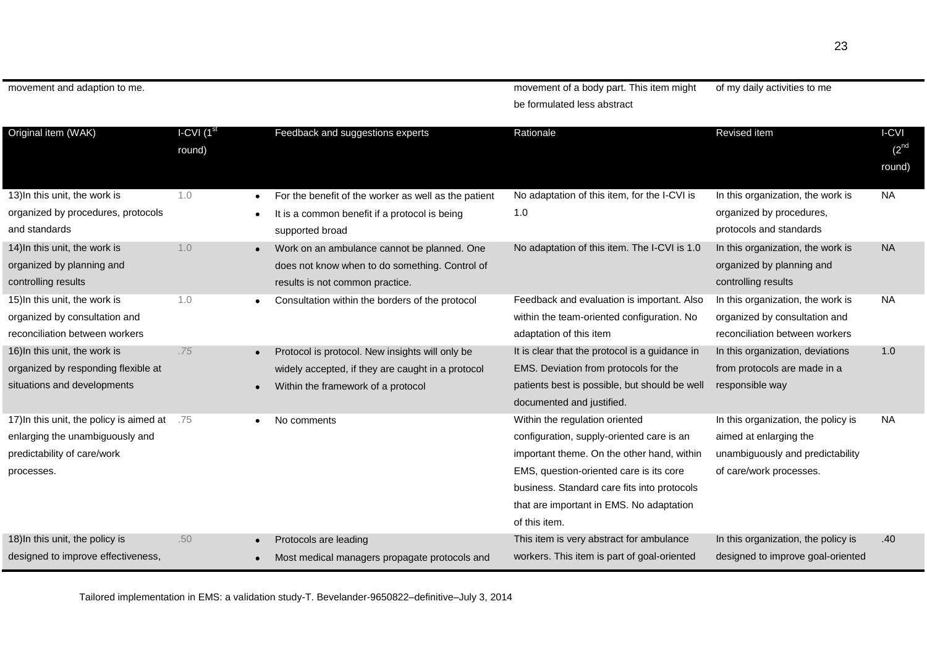movement and adaption to me. movement of a body part. This item might be formulated less abstract of my daily activities to me

| Original item (WAK)                                                                                                      | I-CVI $(1st)$<br>round) |                                           | Feedback and suggestions experts                                                                                                           | Rationale                                                                                                                                                                                                                                                                        | Revised item                                                                                                                 | I-CVI<br>$(2^{nd}$<br>round) |
|--------------------------------------------------------------------------------------------------------------------------|-------------------------|-------------------------------------------|--------------------------------------------------------------------------------------------------------------------------------------------|----------------------------------------------------------------------------------------------------------------------------------------------------------------------------------------------------------------------------------------------------------------------------------|------------------------------------------------------------------------------------------------------------------------------|------------------------------|
| 13) In this unit, the work is<br>organized by procedures, protocols<br>and standards                                     | 1.0                     | $\bullet$<br>$\bullet$<br>supported broad | For the benefit of the worker as well as the patient<br>It is a common benefit if a protocol is being                                      | No adaptation of this item, for the I-CVI is<br>1.0                                                                                                                                                                                                                              | In this organization, the work is<br>organized by procedures,<br>protocols and standards                                     | NA.                          |
| 14) In this unit, the work is<br>organized by planning and<br>controlling results                                        | 1.0                     |                                           | Work on an ambulance cannot be planned. One<br>does not know when to do something. Control of<br>results is not common practice.           | No adaptation of this item. The I-CVI is 1.0                                                                                                                                                                                                                                     | In this organization, the work is<br>organized by planning and<br>controlling results                                        | <b>NA</b>                    |
| 15) In this unit, the work is<br>organized by consultation and<br>reconciliation between workers                         | 1.0                     |                                           | Consultation within the borders of the protocol                                                                                            | Feedback and evaluation is important. Also<br>within the team-oriented configuration. No<br>adaptation of this item                                                                                                                                                              | In this organization, the work is<br>organized by consultation and<br>reconciliation between workers                         | <b>NA</b>                    |
| 16) In this unit, the work is<br>organized by responding flexible at<br>situations and developments                      | .75                     |                                           | Protocol is protocol. New insights will only be<br>widely accepted, if they are caught in a protocol<br>Within the framework of a protocol | It is clear that the protocol is a guidance in<br>EMS. Deviation from protocols for the<br>patients best is possible, but should be well<br>documented and justified.                                                                                                            | In this organization, deviations<br>from protocols are made in a<br>responsible way                                          | 1.0                          |
| 17) In this unit, the policy is aimed at<br>enlarging the unambiguously and<br>predictability of care/work<br>processes. | .75                     | No comments                               |                                                                                                                                            | Within the regulation oriented<br>configuration, supply-oriented care is an<br>important theme. On the other hand, within<br>EMS, question-oriented care is its core<br>business. Standard care fits into protocols<br>that are important in EMS. No adaptation<br>of this item. | In this organization, the policy is<br>aimed at enlarging the<br>unambiguously and predictability<br>of care/work processes. | NA                           |
| 18) In this unit, the policy is<br>designed to improve effectiveness,                                                    | .50                     | Protocols are leading                     | Most medical managers propagate protocols and                                                                                              | This item is very abstract for ambulance<br>workers. This item is part of goal-oriented                                                                                                                                                                                          | In this organization, the policy is<br>designed to improve goal-oriented                                                     | .40                          |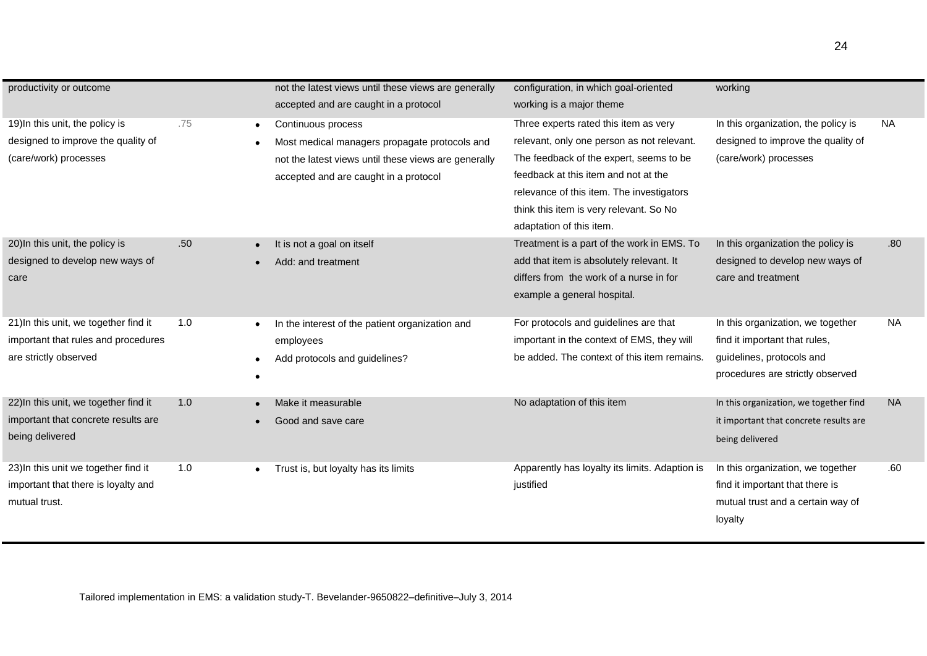|                                       |     | not the latest views until these views are generally |                                                |                                        |                  |
|---------------------------------------|-----|------------------------------------------------------|------------------------------------------------|----------------------------------------|------------------|
| productivity or outcome               |     |                                                      | configuration, in which goal-oriented          | working                                |                  |
|                                       |     | accepted and are caught in a protocol                | working is a major theme                       |                                        |                  |
| 19) In this unit, the policy is       | .75 | Continuous process                                   | Three experts rated this item as very          | In this organization, the policy is    | <b>NA</b>        |
| designed to improve the quality of    |     | Most medical managers propagate protocols and        | relevant, only one person as not relevant.     | designed to improve the quality of     |                  |
| (care/work) processes                 |     | not the latest views until these views are generally | The feedback of the expert, seems to be        | (care/work) processes                  |                  |
|                                       |     | accepted and are caught in a protocol                | feedback at this item and not at the           |                                        |                  |
|                                       |     |                                                      | relevance of this item. The investigators      |                                        |                  |
|                                       |     |                                                      | think this item is very relevant. So No        |                                        |                  |
|                                       |     |                                                      | adaptation of this item.                       |                                        |                  |
| 20) In this unit, the policy is       | .50 | It is not a goal on itself                           | Treatment is a part of the work in EMS. To     | In this organization the policy is     | .80 <sub>1</sub> |
| designed to develop new ways of       |     | Add: and treatment                                   | add that item is absolutely relevant. It       | designed to develop new ways of        |                  |
| care                                  |     |                                                      | differs from the work of a nurse in for        | care and treatment                     |                  |
|                                       |     |                                                      | example a general hospital.                    |                                        |                  |
|                                       |     |                                                      |                                                |                                        |                  |
| 21) In this unit, we together find it | 1.0 | In the interest of the patient organization and      | For protocols and guidelines are that          | In this organization, we together      | <b>NA</b>        |
| important that rules and procedures   |     | employees                                            | important in the context of EMS, they will     | find it important that rules,          |                  |
| are strictly observed                 |     | Add protocols and guidelines?                        | be added. The context of this item remains.    | guidelines, protocols and              |                  |
|                                       |     |                                                      |                                                | procedures are strictly observed       |                  |
| 22) In this unit, we together find it | 1.0 | Make it measurable                                   | No adaptation of this item                     | In this organization, we together find | <b>NA</b>        |
| important that concrete results are   |     | Good and save care                                   |                                                | it important that concrete results are |                  |
| being delivered                       |     |                                                      |                                                | being delivered                        |                  |
|                                       |     |                                                      |                                                |                                        |                  |
| 23) In this unit we together find it  | 1.0 | Trust is, but loyalty has its limits                 | Apparently has loyalty its limits. Adaption is | In this organization, we together      | .60              |
| important that there is loyalty and   |     |                                                      | justified                                      | find it important that there is        |                  |
| mutual trust.                         |     |                                                      |                                                | mutual trust and a certain way of      |                  |
|                                       |     |                                                      |                                                | loyalty                                |                  |
|                                       |     |                                                      |                                                |                                        |                  |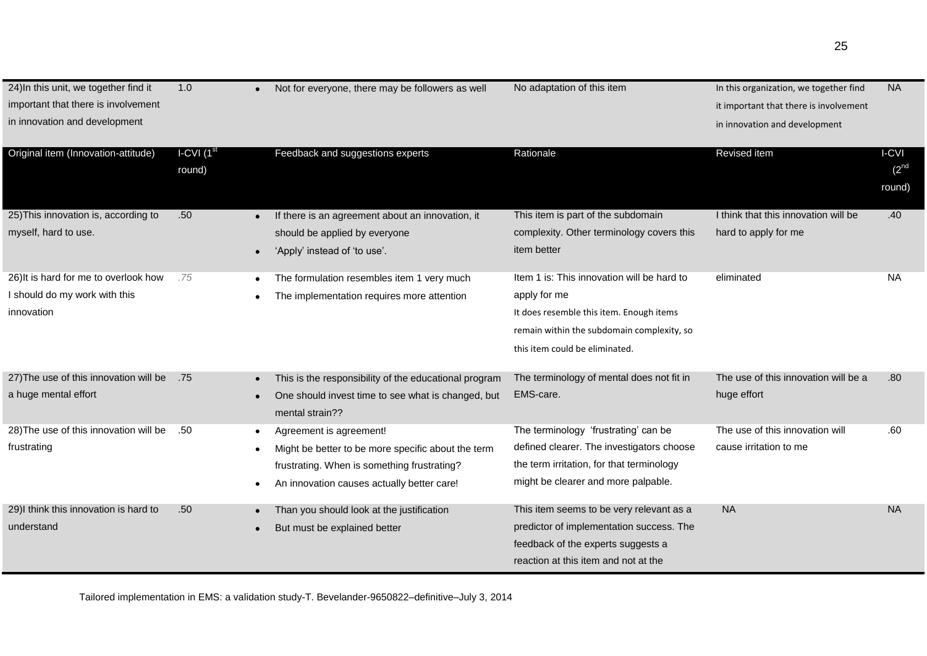| 24) In this unit, we together find it<br>important that there is involvement<br>in innovation and development | 1.0                               | Not for everyone, there may be followers as well                                                                                                                                        | No adaptation of this item                                                                                                                                                             | In this organization, we together find<br>it important that there is involvement<br>in innovation and development | <b>NA</b>                    |
|---------------------------------------------------------------------------------------------------------------|-----------------------------------|-----------------------------------------------------------------------------------------------------------------------------------------------------------------------------------------|----------------------------------------------------------------------------------------------------------------------------------------------------------------------------------------|-------------------------------------------------------------------------------------------------------------------|------------------------------|
| Original item (Innovation-attitude)                                                                           | $ICVI$ (1 <sup>st</sup><br>round) | Feedback and suggestions experts                                                                                                                                                        | Rationale                                                                                                                                                                              | Revised item                                                                                                      | I-CVI<br>$(2^{nd}$<br>round) |
| 25) This innovation is, according to<br>myself, hard to use.                                                  | .50                               | If there is an agreement about an innovation, it<br>should be applied by everyone<br>'Apply' instead of 'to use'.                                                                       | This item is part of the subdomain<br>complexity. Other terminology covers this<br>item better                                                                                         | I think that this innovation will be<br>hard to apply for me                                                      | .40                          |
| 26) It is hard for me to overlook how<br>I should do my work with this<br>innovation                          | .75                               | The formulation resembles item 1 very much<br>The implementation requires more attention                                                                                                | Item 1 is: This innovation will be hard to<br>apply for me<br>It does resemble this item. Enough items<br>remain within the subdomain complexity, so<br>this item could be eliminated. | eliminated                                                                                                        | NA.                          |
| 27) The use of this innovation will be<br>a huge mental effort                                                | .75                               | This is the responsibility of the educational program<br>One should invest time to see what is changed, but<br>mental strain??                                                          | The terminology of mental does not fit in<br>EMS-care.                                                                                                                                 | The use of this innovation will be a<br>huge effort                                                               | .80                          |
| 28) The use of this innovation will be<br>frustrating                                                         | .50                               | Agreement is agreement!<br>$\bullet$<br>Might be better to be more specific about the term<br>frustrating. When is something frustrating?<br>An innovation causes actually better care! | The terminology 'frustrating' can be<br>defined clearer. The investigators choose<br>the term irritation, for that terminology<br>might be clearer and more palpable.                  | The use of this innovation will<br>cause irritation to me                                                         | .60                          |
| 29)I think this innovation is hard to<br>understand                                                           | .50                               | Than you should look at the justification<br>But must be explained better                                                                                                               | This item seems to be very relevant as a<br>predictor of implementation success. The<br>feedback of the experts suggests a<br>reaction at this item and not at the                     | <b>NA</b>                                                                                                         | <b>NA</b>                    |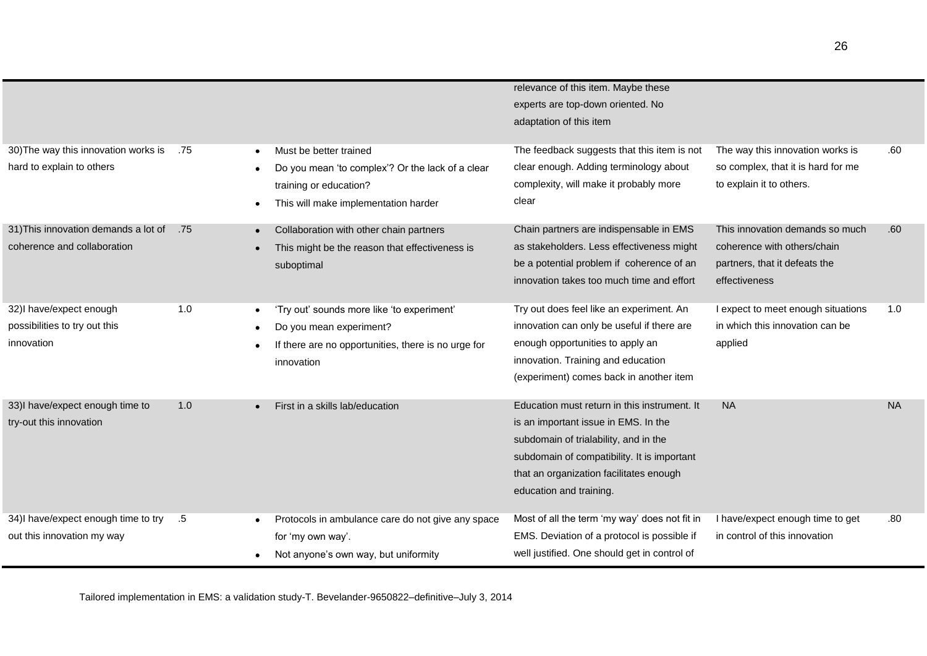|                                                                        |     |                                                                                                                                              | relevance of this item. Maybe these<br>experts are top-down oriented. No<br>adaptation of this item                                                                                                                                                |                                                                                                                  |           |
|------------------------------------------------------------------------|-----|----------------------------------------------------------------------------------------------------------------------------------------------|----------------------------------------------------------------------------------------------------------------------------------------------------------------------------------------------------------------------------------------------------|------------------------------------------------------------------------------------------------------------------|-----------|
| 30) The way this innovation works is<br>hard to explain to others      | .75 | Must be better trained<br>Do you mean 'to complex'? Or the lack of a clear<br>training or education?<br>This will make implementation harder | The feedback suggests that this item is not<br>clear enough. Adding terminology about<br>complexity, will make it probably more<br>clear                                                                                                           | The way this innovation works is<br>so complex, that it is hard for me<br>to explain it to others.               | .60       |
| 31) This innovation demands a lot of<br>coherence and collaboration    | .75 | Collaboration with other chain partners<br>This might be the reason that effectiveness is<br>suboptimal                                      | Chain partners are indispensable in EMS<br>as stakeholders. Less effectiveness might<br>be a potential problem if coherence of an<br>innovation takes too much time and effort                                                                     | This innovation demands so much<br>coherence with others/chain<br>partners, that it defeats the<br>effectiveness | .60       |
| 32)I have/expect enough<br>possibilities to try out this<br>innovation | 1.0 | 'Try out' sounds more like 'to experiment'<br>Do you mean experiment?<br>If there are no opportunities, there is no urge for<br>innovation   | Try out does feel like an experiment. An<br>innovation can only be useful if there are<br>enough opportunities to apply an<br>innovation. Training and education<br>(experiment) comes back in another item                                        | I expect to meet enough situations<br>in which this innovation can be<br>applied                                 | 1.0       |
| 33)I have/expect enough time to<br>try-out this innovation             | 1.0 | First in a skills lab/education                                                                                                              | Education must return in this instrument. It<br>is an important issue in EMS. In the<br>subdomain of trialability, and in the<br>subdomain of compatibility. It is important<br>that an organization facilitates enough<br>education and training. | <b>NA</b>                                                                                                        | <b>NA</b> |
| 34)I have/expect enough time to try<br>out this innovation my way      | .5  | Protocols in ambulance care do not give any space<br>for 'my own way'.<br>Not anyone's own way, but uniformity                               | Most of all the term 'my way' does not fit in<br>EMS. Deviation of a protocol is possible if<br>well justified. One should get in control of                                                                                                       | I have/expect enough time to get<br>in control of this innovation                                                | .80       |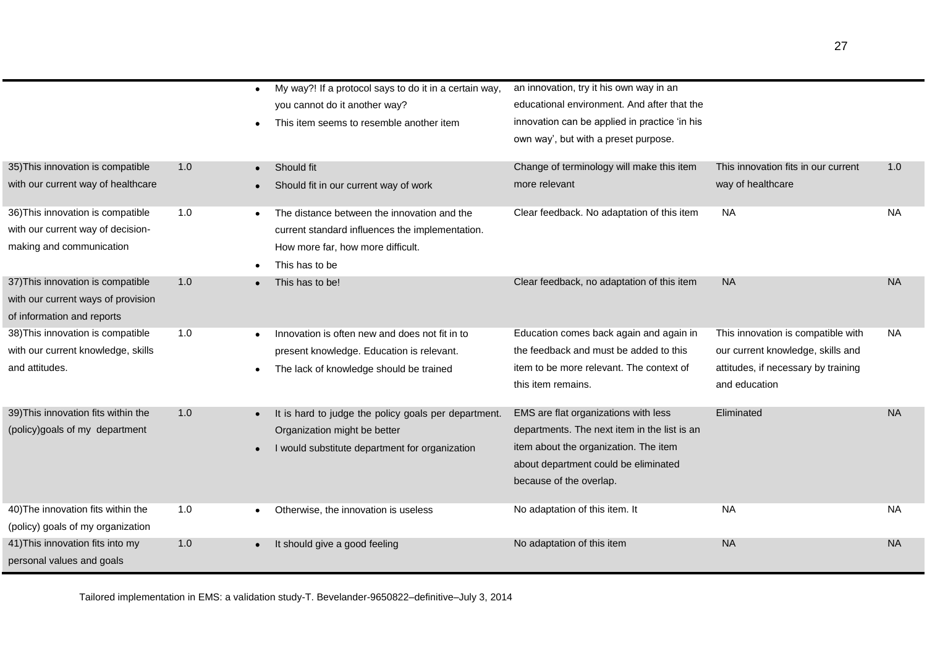|                                     |     | $\bullet$ | My way?! If a protocol says to do it in a certain way, | an innovation, try it his own way in an       |                                     |           |
|-------------------------------------|-----|-----------|--------------------------------------------------------|-----------------------------------------------|-------------------------------------|-----------|
|                                     |     |           | you cannot do it another way?                          | educational environment. And after that the   |                                     |           |
|                                     |     |           | This item seems to resemble another item               | innovation can be applied in practice 'in his |                                     |           |
|                                     |     |           |                                                        | own way', but with a preset purpose.          |                                     |           |
|                                     |     |           |                                                        |                                               |                                     |           |
| 35) This innovation is compatible   | 1.0 | $\bullet$ | Should fit                                             | Change of terminology will make this item     | This innovation fits in our current | 1.0       |
| with our current way of healthcare  |     |           | Should fit in our current way of work                  | more relevant                                 | way of healthcare                   |           |
| 36) This innovation is compatible   | 1.0 |           | The distance between the innovation and the            | Clear feedback. No adaptation of this item    | <b>NA</b>                           | <b>NA</b> |
| with our current way of decision-   |     |           | current standard influences the implementation.        |                                               |                                     |           |
| making and communication            |     |           | How more far, how more difficult.                      |                                               |                                     |           |
|                                     |     |           | This has to be                                         |                                               |                                     |           |
| 37) This innovation is compatible   | 1.0 |           | This has to be!                                        | Clear feedback, no adaptation of this item    | <b>NA</b>                           | <b>NA</b> |
| with our current ways of provision  |     |           |                                                        |                                               |                                     |           |
| of information and reports          |     |           |                                                        |                                               |                                     |           |
| 38) This innovation is compatible   | 1.0 |           | Innovation is often new and does not fit in to         | Education comes back again and again in       | This innovation is compatible with  | NA.       |
| with our current knowledge, skills  |     |           | present knowledge. Education is relevant.              | the feedback and must be added to this        | our current knowledge, skills and   |           |
| and attitudes.                      |     |           | The lack of knowledge should be trained                | item to be more relevant. The context of      | attitudes, if necessary by training |           |
|                                     |     |           |                                                        | this item remains.                            | and education                       |           |
|                                     |     |           |                                                        |                                               |                                     |           |
| 39) This innovation fits within the | 1.0 |           | It is hard to judge the policy goals per department.   | EMS are flat organizations with less          | Eliminated                          | <b>NA</b> |
| (policy)goals of my department      |     |           | Organization might be better                           | departments. The next item in the list is an  |                                     |           |
|                                     |     |           | I would substitute department for organization         | item about the organization. The item         |                                     |           |
|                                     |     |           |                                                        | about department could be eliminated          |                                     |           |
|                                     |     |           |                                                        | because of the overlap.                       |                                     |           |
| 40) The innovation fits within the  | 1.0 |           | Otherwise, the innovation is useless                   | No adaptation of this item. It                | <b>NA</b>                           | <b>NA</b> |
| (policy) goals of my organization   |     |           |                                                        |                                               |                                     |           |
| 41) This innovation fits into my    | 1.0 |           | It should give a good feeling                          | No adaptation of this item                    | <b>NA</b>                           | <b>NA</b> |
| personal values and goals           |     |           |                                                        |                                               |                                     |           |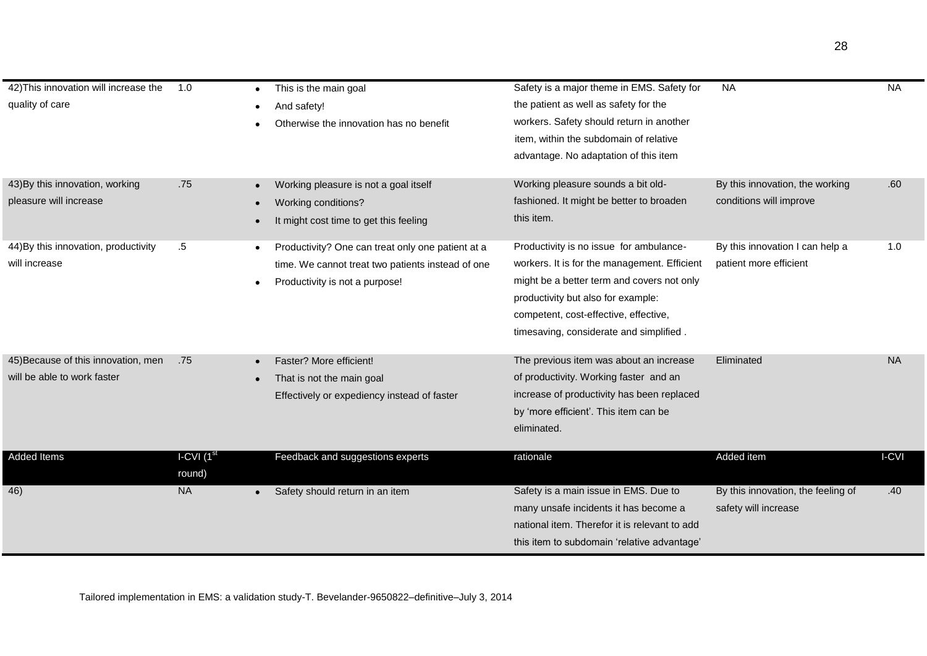| 42) This innovation will increase the | 1.0                    | This is the main goal<br>٠                        | Safety is a major theme in EMS. Safety for    | <b>NA</b>                          | <b>NA</b> |
|---------------------------------------|------------------------|---------------------------------------------------|-----------------------------------------------|------------------------------------|-----------|
| quality of care                       |                        | And safety!                                       | the patient as well as safety for the         |                                    |           |
|                                       |                        | Otherwise the innovation has no benefit           | workers. Safety should return in another      |                                    |           |
|                                       |                        |                                                   | item, within the subdomain of relative        |                                    |           |
|                                       |                        |                                                   | advantage. No adaptation of this item         |                                    |           |
|                                       |                        |                                                   |                                               |                                    |           |
| 43) By this innovation, working       | .75                    | Working pleasure is not a goal itself             | Working pleasure sounds a bit old-            | By this innovation, the working    | .60       |
| pleasure will increase                |                        | Working conditions?                               | fashioned. It might be better to broaden      | conditions will improve            |           |
|                                       |                        | It might cost time to get this feeling            | this item.                                    |                                    |           |
| 44) By this innovation, productivity  | .5                     | Productivity? One can treat only one patient at a | Productivity is no issue for ambulance-       | By this innovation I can help a    | 1.0       |
| will increase                         |                        |                                                   |                                               | patient more efficient             |           |
|                                       |                        | time. We cannot treat two patients instead of one | workers. It is for the management. Efficient  |                                    |           |
|                                       |                        | Productivity is not a purpose!                    | might be a better term and covers not only    |                                    |           |
|                                       |                        |                                                   | productivity but also for example:            |                                    |           |
|                                       |                        |                                                   | competent, cost-effective, effective,         |                                    |           |
|                                       |                        |                                                   | timesaving, considerate and simplified.       |                                    |           |
| 45) Because of this innovation, men   | .75                    | Faster? More efficient!                           | The previous item was about an increase       | Eliminated                         | <b>NA</b> |
| will be able to work faster           |                        | That is not the main goal                         | of productivity. Working faster and an        |                                    |           |
|                                       |                        | Effectively or expediency instead of faster       | increase of productivity has been replaced    |                                    |           |
|                                       |                        |                                                   | by 'more efficient'. This item can be         |                                    |           |
|                                       |                        |                                                   | eliminated.                                   |                                    |           |
|                                       |                        |                                                   |                                               |                                    |           |
| Added Items                           | I-CVI (1 <sup>st</sup> | Feedback and suggestions experts                  | rationale                                     | Added item                         | I-CVI     |
|                                       | round)                 |                                                   |                                               |                                    |           |
| 46)                                   | <b>NA</b>              | Safety should return in an item                   | Safety is a main issue in EMS. Due to         | By this innovation, the feeling of | .40       |
|                                       |                        |                                                   | many unsafe incidents it has become a         | safety will increase               |           |
|                                       |                        |                                                   | national item. Therefor it is relevant to add |                                    |           |
|                                       |                        |                                                   | this item to subdomain 'relative advantage'   |                                    |           |
|                                       |                        |                                                   |                                               |                                    |           |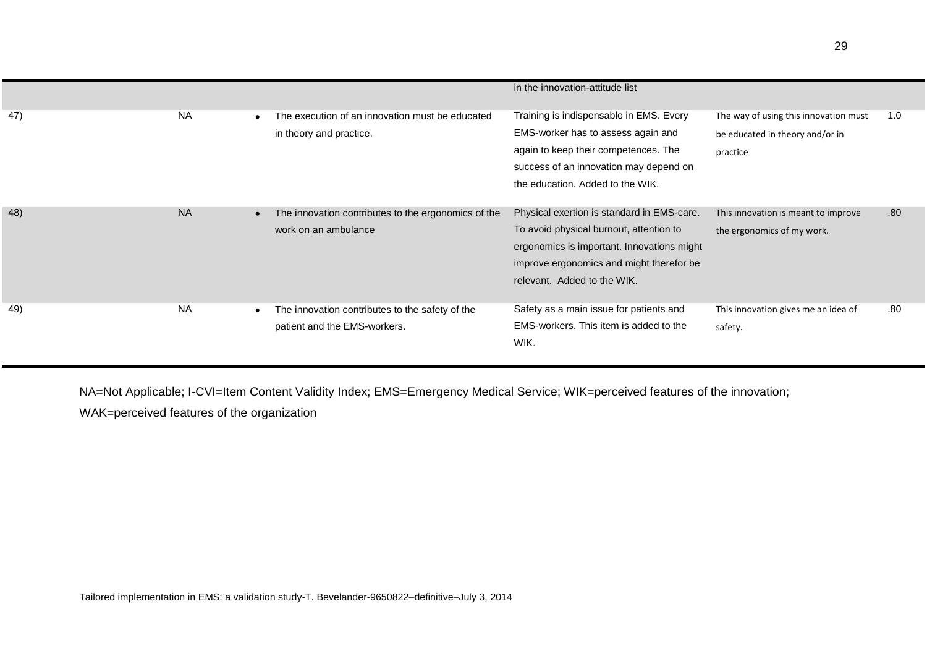|     |           |                                                                                 | in the innovation-attitude list                                                                                                                                                                                |                                                                                      |                  |
|-----|-----------|---------------------------------------------------------------------------------|----------------------------------------------------------------------------------------------------------------------------------------------------------------------------------------------------------------|--------------------------------------------------------------------------------------|------------------|
| 47) | <b>NA</b> | The execution of an innovation must be educated<br>in theory and practice.      | Training is indispensable in EMS. Every<br>EMS-worker has to assess again and<br>again to keep their competences. The<br>success of an innovation may depend on<br>the education. Added to the WIK.            | The way of using this innovation must<br>be educated in theory and/or in<br>practice | 1.0              |
| 48) | <b>NA</b> | The innovation contributes to the ergonomics of the<br>work on an ambulance     | Physical exertion is standard in EMS-care.<br>To avoid physical burnout, attention to<br>ergonomics is important. Innovations might<br>improve ergonomics and might therefor be<br>relevant. Added to the WIK. | This innovation is meant to improve<br>the ergonomics of my work.                    | .80 <sub>1</sub> |
| 49) | <b>NA</b> | The innovation contributes to the safety of the<br>patient and the EMS-workers. | Safety as a main issue for patients and<br>EMS-workers. This item is added to the<br>WIK.                                                                                                                      | This innovation gives me an idea of<br>safety.                                       | .80              |

NA=Not Applicable; I-CVI=Item Content Validity Index; EMS=Emergency Medical Service; WIK=perceived features of the innovation; WAK=perceived features of the organization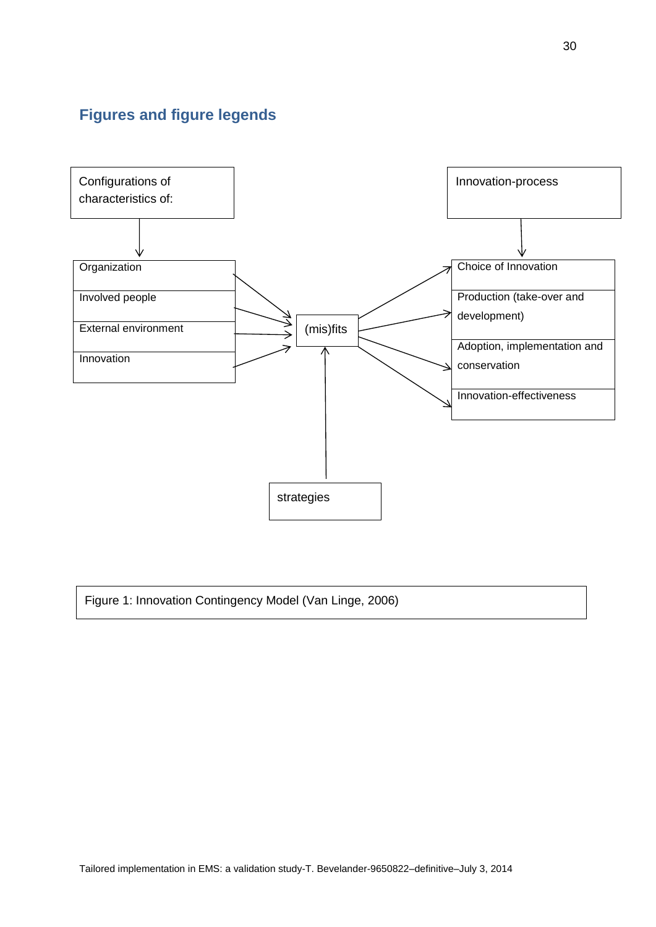# **Figures and figure legends**



Figure 1: Innovation Contingency Model (Van Linge, 2006)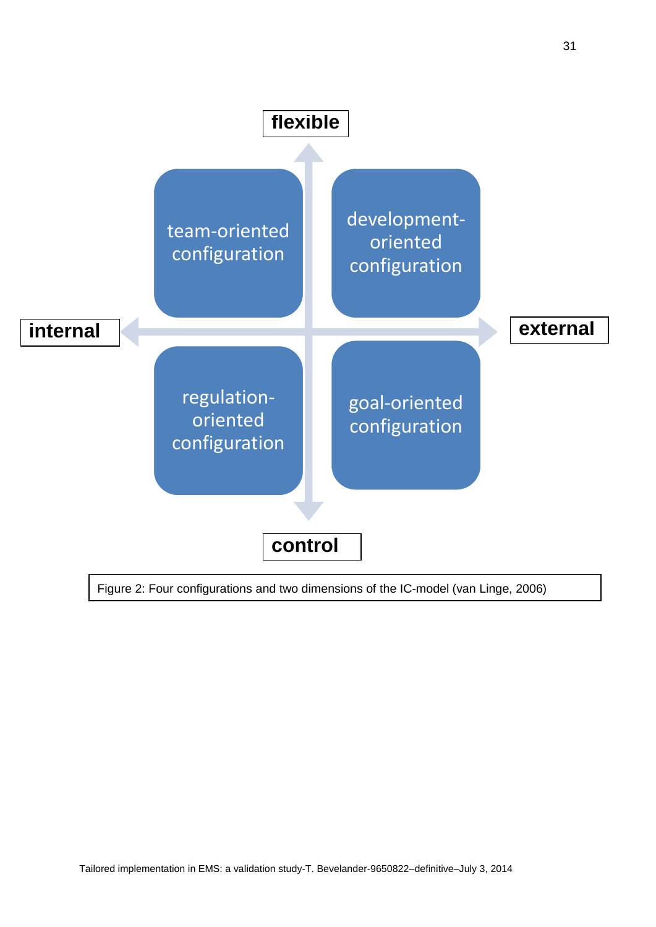31

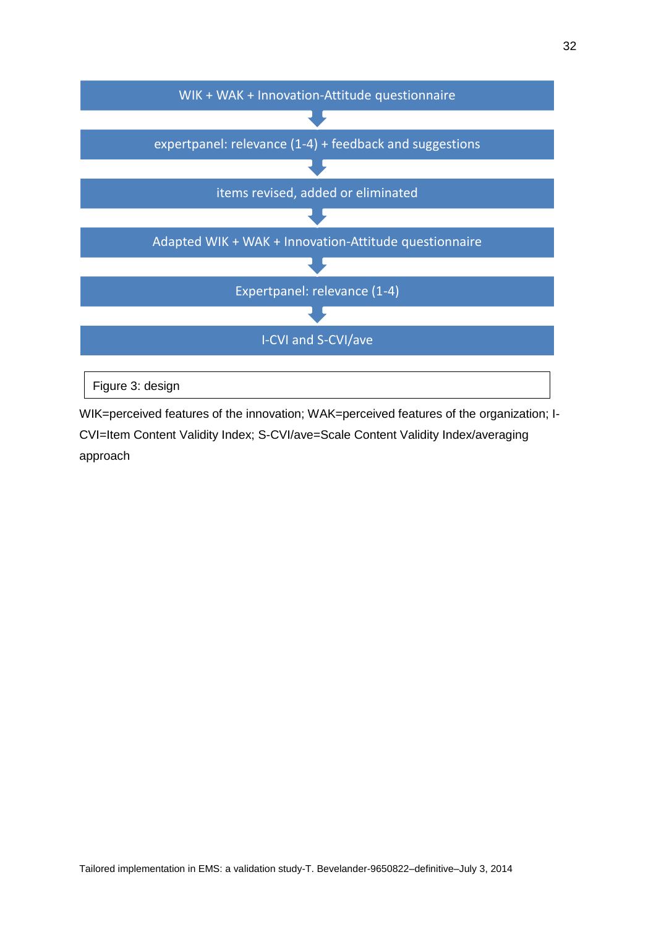

WIK=perceived features of the innovation; WAK=perceived features of the organization; I-CVI=Item Content Validity Index; S-CVI/ave=Scale Content Validity Index/averaging approach